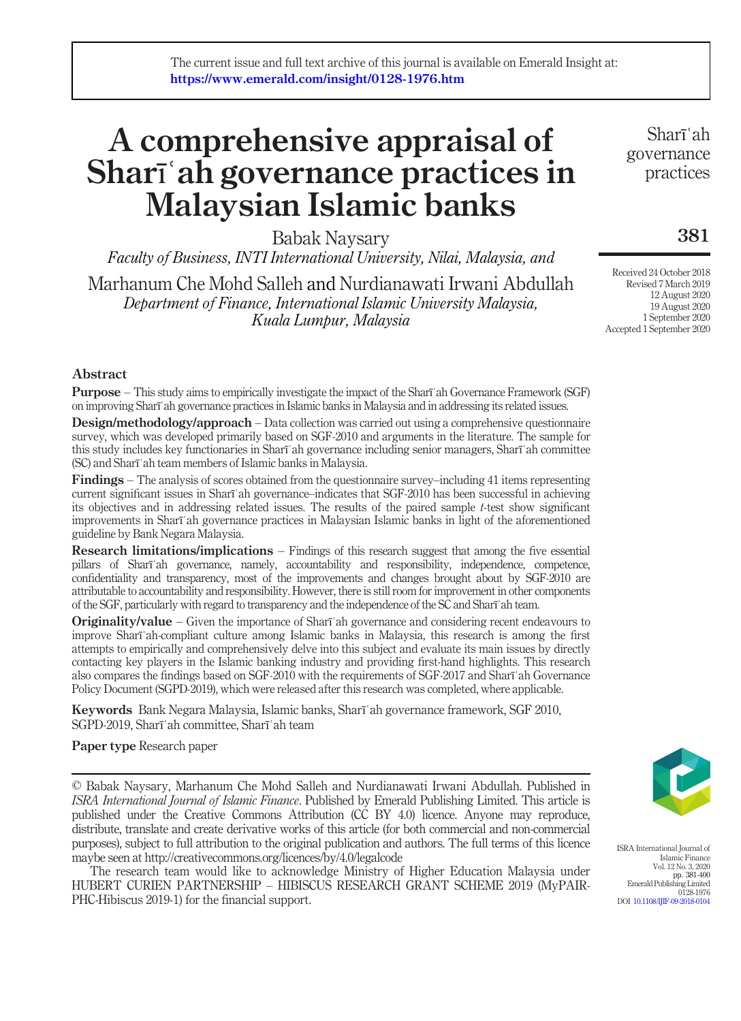# A comprehensive appraisal of Sharīʿah governance practices in Malaysian Islamic banks

Babak Naysary

Faculty of Business, INTI International University, Nilai, Malaysia, and Marhanum Che Mohd Salleh and Nurdianawati Irwani Abdullah Department of Finance, International Islamic University Malaysia, Kuala Lumpur, Malaysia

Sharīʿah governance practices

## 381

Received 24 October 2018 Revised 7 March 2019 12 August 2020 19 August 2020 1 September 2020 Accepted 1 September 2020

## Abstract

Purpose – This study aims to empirically investigate the impact of the Sharīʿah Governance Framework (SGF) on improving Sharīʿah governance practices in Islamic banks in Malaysia and in addressing its related issues.

Design/methodology/approach – Data collection was carried out using a comprehensive questionnaire survey, which was developed primarily based on SGF-2010 and arguments in the literature. The sample for this study includes key functionaries in Sharīʿah governance including senior managers, Sharīʿah committee (SC) and Sharīʿah team members of Islamic banks in Malaysia.

Findings – The analysis of scores obtained from the questionnaire survey–including 41 items representing current significant issues in Sharīʿah governance–indicates that SGF-2010 has been successful in achieving its objectives and in addressing related issues. The results of the paired sample  $t$ -test show significant improvements in Sharīʿah governance practices in Malaysian Islamic banks in light of the aforementioned guideline by Bank Negara Malaysia.

**Research limitations/implications** – Findings of this research suggest that among the five essential pillars of Sharīʿah governance, namely, accountability and responsibility, independence, competence, confidentiality and transparency, most of the improvements and changes brought about by SGF-2010 are attributable to accountability and responsibility. However, there is still room for improvement in other components of the SGF, particularly with regard to transparency and the independence of the SC and Sharīʿah team.

**Originality/value** – Given the importance of Sharī'ah governance and considering recent endeavours to improve Sharīʿah-compliant culture among Islamic banks in Malaysia, this research is among the first attempts to empirically and comprehensively delve into this subject and evaluate its main issues by directly contacting key players in the Islamic banking industry and providing first-hand highlights. This research also compares the findings based on SGF-2010 with the requirements of SGF-2017 and Sharīʿah Governance Policy Document (SGPD-2019), which were released after this research was completed, where applicable.

Keywords Bank Negara Malaysia, Islamic banks, Sharīʿah governance framework, SGF 2010, SGPD-2019, Sharīʿah committee, Sharīʿah team

Paper type Research paper

© Babak Naysary, Marhanum Che Mohd Salleh and Nurdianawati Irwani Abdullah. Published in ISRA International Journal of Islamic Finance. Published by Emerald Publishing Limited. This article is published under the Creative Commons Attribution (CC BY 4.0) licence. Anyone may reproduce, distribute, translate and create derivative works of this article (for both commercial and non-commercial purposes), subject to full attribution to the original publication and authors. The full terms of this licence maybe seen at http://creativecommons.org/licences/by/4.0/legalcode

The research team would like to acknowledge Ministry of Higher Education Malaysia under HUBERT CURIEN PARTNERSHIP – HIBISCUS RESEARCH GRANT SCHEME 2019 (MyPAIR-PHC-Hibiscus 2019-1) for the financial support.



ISRA International Journal of Islamic Finance Vol. 12 No. 3, 2020 pp. 381-400 Emerald Publishing Limited 0128-1976 DOI [10.1108/IJIF-09-2018-0104](http://dx.doi.org/10.1108/IJIF-09-2018-0104)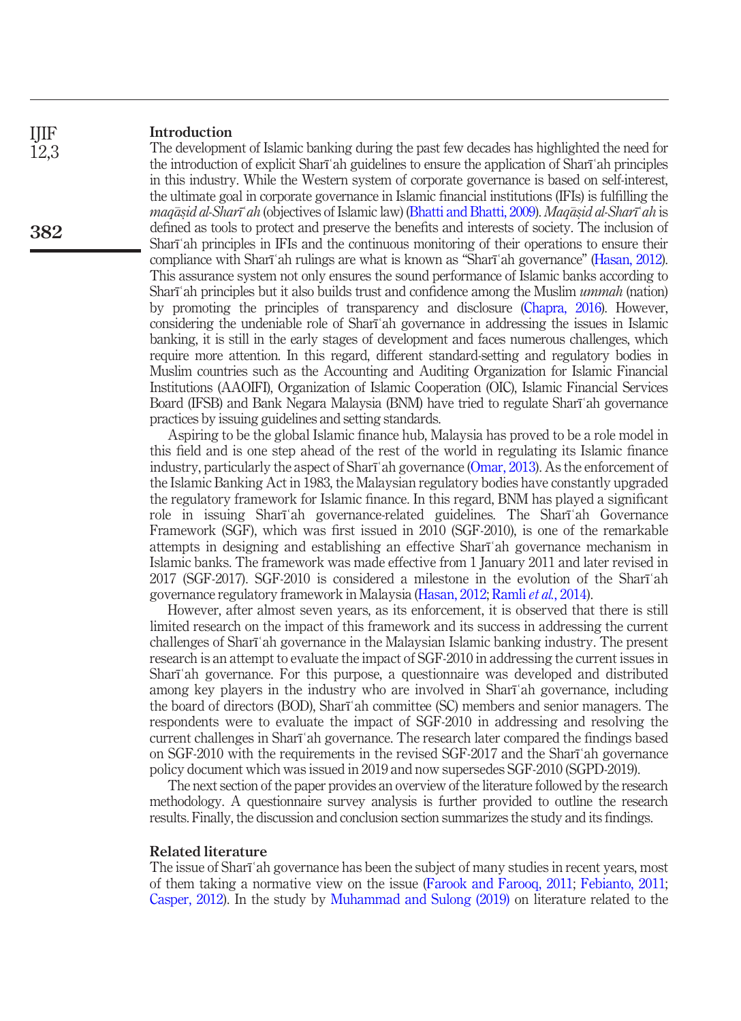#### Introduction IJIF

12,3

382

The development of Islamic banking during the past few decades has highlighted the need for the introduction of explicit Sharīʿah guidelines to ensure the application of Sharīʿah principles in this industry. While the Western system of corporate governance is based on self-interest, the ultimate goal in corporate governance in Islamic financial institutions (IFIs) is fulfilling the maqāṣid al-Sharīʿah (objectives of Islamic law) ([Bhatti and Bhatti, 2009](#page-18-0)). Maqāṣid al-Sharīʿah is<br>defined as tools to protect and preserve the benefits and interests of society. The inclusion of defined as tools to protect and preserve the benefits and interests of society. The inclusion of Sharīʿah principles in IFIs and the continuous monitoring of their operations to ensure their compliance with Sharīʿah rulings are what is known as "Sharīʿah governance" [\(Hasan, 2012\)](#page-18-1). This assurance system not only ensures the sound performance of Islamic banks according to Sharī'ah principles but it also builds trust and confidence among the Muslim *ummah* (nation) by promoting the principles of transparency and disclosure [\(Chapra, 2016](#page-18-2)). However, considering the undeniable role of Sharīʿah governance in addressing the issues in Islamic banking, it is still in the early stages of development and faces numerous challenges, which require more attention. In this regard, different standard-setting and regulatory bodies in Muslim countries such as the Accounting and Auditing Organization for Islamic Financial Institutions (AAOIFI), Organization of Islamic Cooperation (OIC), Islamic Financial Services Board (IFSB) and Bank Negara Malaysia (BNM) have tried to regulate Sharīʿah governance practices by issuing guidelines and setting standards.

Aspiring to be the global Islamic finance hub, Malaysia has proved to be a role model in this field and is one step ahead of the rest of the world in regulating its Islamic finance industry, particularly the aspect of Sharīʿah governance ([Omar, 2013\)](#page-18-3). As the enforcement of the Islamic Banking Act in 1983, the Malaysian regulatory bodies have constantly upgraded the regulatory framework for Islamic finance. In this regard, BNM has played a significant role in issuing Sharīʿah governance-related guidelines. The Sharīʿah Governance Framework (SGF), which was first issued in 2010 (SGF-2010), is one of the remarkable attempts in designing and establishing an effective Sharīʿah governance mechanism in Islamic banks. The framework was made effective from 1 January 2011 and later revised in 2017 (SGF-2017). SGF-2010 is considered a milestone in the evolution of the Sharīʿah governance regulatory framework in Malaysia ([Hasan, 2012;](#page-18-1) [Ramli](#page-18-4) et al., 2014).

However, after almost seven years, as its enforcement, it is observed that there is still limited research on the impact of this framework and its success in addressing the current challenges of Sharīʿah governance in the Malaysian Islamic banking industry. The present research is an attempt to evaluate the impact of SGF-2010 in addressing the current issues in Sharīʿah governance. For this purpose, a questionnaire was developed and distributed among key players in the industry who are involved in Sharīʿah governance, including the board of directors (BOD), Sharīʿah committee (SC) members and senior managers. The respondents were to evaluate the impact of SGF-2010 in addressing and resolving the current challenges in Sharīʿah governance. The research later compared the findings based on SGF-2010 with the requirements in the revised SGF-2017 and the Sharīʿah governance policy document which was issued in 2019 and now supersedes SGF-2010 (SGPD-2019).

The next section of the paper provides an overview of the literature followed by the research methodology. A questionnaire survey analysis is further provided to outline the research results. Finally, the discussion and conclusion section summarizes the study and its findings.

#### Related literature

The issue of Sharīʿah governance has been the subject of many studies in recent years, most of them taking a normative view on the issue [\(Farook and Farooq, 2011;](#page-18-5) [Febianto, 2011;](#page-18-6) [Casper, 2012\)](#page-18-7). In the study by [Muhammad and Sulong \(2019\)](#page-18-8) on literature related to the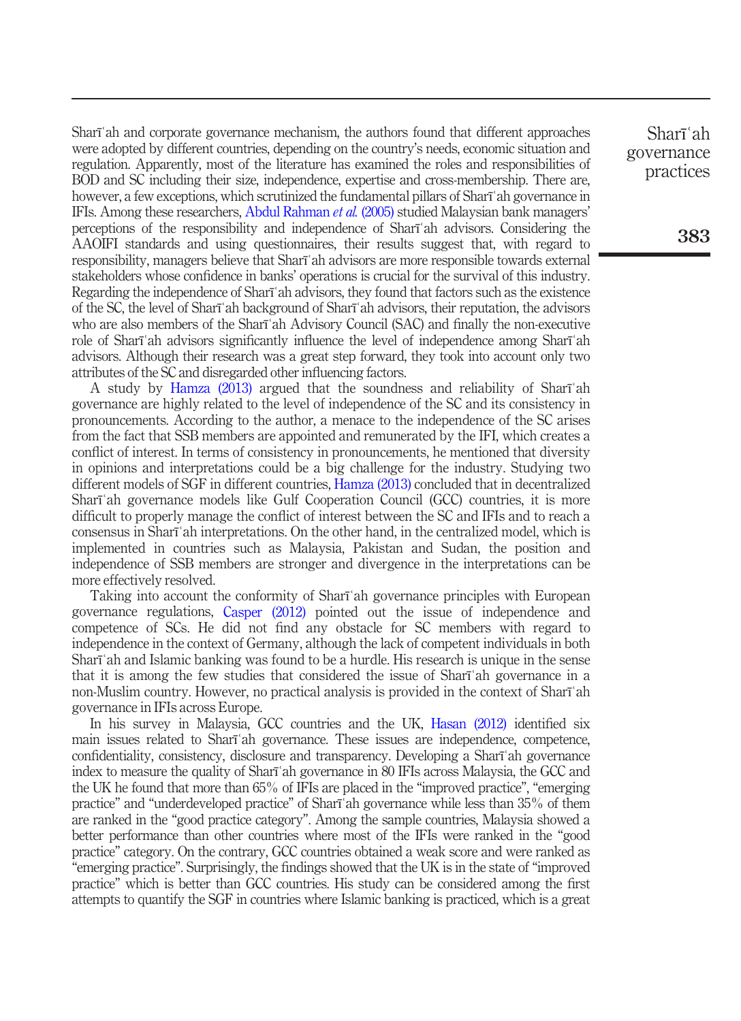Sharīʿah and corporate governance mechanism, the authors found that different approaches were adopted by different countries, depending on the country's needs, economic situation and regulation. Apparently, most of the literature has examined the roles and responsibilities of BOD and SC including their size, independence, expertise and cross-membership. There are, however, a few exceptions, which scrutinized the fundamental pillars of Sharīʿah governance in IFIs. Among these researchers, [Abdul Rahman](#page-18-9) et al. (2005) studied Malaysian bank managers' perceptions of the responsibility and independence of Sharīʿah advisors. Considering the AAOIFI standards and using questionnaires, their results suggest that, with regard to responsibility, managers believe that Sharīʿah advisors are more responsible towards external stakeholders whose confidence in banks' operations is crucial for the survival of this industry. Regarding the independence of Sharīʿah advisors, they found that factors such as the existence of the SC, the level of Sharīʿah background of Sharīʿah advisors, their reputation, the advisors who are also members of the Sharīʿah Advisory Council (SAC) and finally the non-executive role of Sharīʿah advisors significantly influence the level of independence among Sharīʿah advisors. Although their research was a great step forward, they took into account only two attributes of the SC and disregarded other influencing factors.

A study by [Hamza \(2013\)](#page-18-10) argued that the soundness and reliability of Sharīʿah governance are highly related to the level of independence of the SC and its consistency in pronouncements. According to the author, a menace to the independence of the SC arises from the fact that SSB members are appointed and remunerated by the IFI, which creates a conflict of interest. In terms of consistency in pronouncements, he mentioned that diversity in opinions and interpretations could be a big challenge for the industry. Studying two different models of SGF in different countries, [Hamza \(2013\)](#page-18-10) concluded that in decentralized Sharīʿah governance models like Gulf Cooperation Council (GCC) countries, it is more difficult to properly manage the conflict of interest between the SC and IFIs and to reach a consensus in Sharīʿah interpretations. On the other hand, in the centralized model, which is implemented in countries such as Malaysia, Pakistan and Sudan, the position and independence of SSB members are stronger and divergence in the interpretations can be more effectively resolved.

Taking into account the conformity of Sharīʿah governance principles with European governance regulations, [Casper \(2012\)](#page-18-7) pointed out the issue of independence and competence of SCs. He did not find any obstacle for SC members with regard to independence in the context of Germany, although the lack of competent individuals in both Sharīʿah and Islamic banking was found to be a hurdle. His research is unique in the sense that it is among the few studies that considered the issue of Sharīʿah governance in a non-Muslim country. However, no practical analysis is provided in the context of Sharīʿah governance in IFIs across Europe.

In his survey in Malaysia, GCC countries and the UK, [Hasan \(2012\)](#page-18-1) identified six main issues related to Sharīʿah governance. These issues are independence, competence, confidentiality, consistency, disclosure and transparency. Developing a Sharīʿah governance index to measure the quality of Sharīʿah governance in 80 IFIs across Malaysia, the GCC and the UK he found that more than 65% of IFIs are placed in the "improved practice", "emerging practice" and "underdeveloped practice" of Sharīʿah governance while less than 35% of them are ranked in the "good practice category". Among the sample countries, Malaysia showed a better performance than other countries where most of the IFIs were ranked in the "good practice" category. On the contrary, GCC countries obtained a weak score and were ranked as "emerging practice". Surprisingly, the findings showed that the UK is in the state of "improved practice" which is better than GCC countries. His study can be considered among the first attempts to quantify the SGF in countries where Islamic banking is practiced, which is a great

Sharīʿah governance practices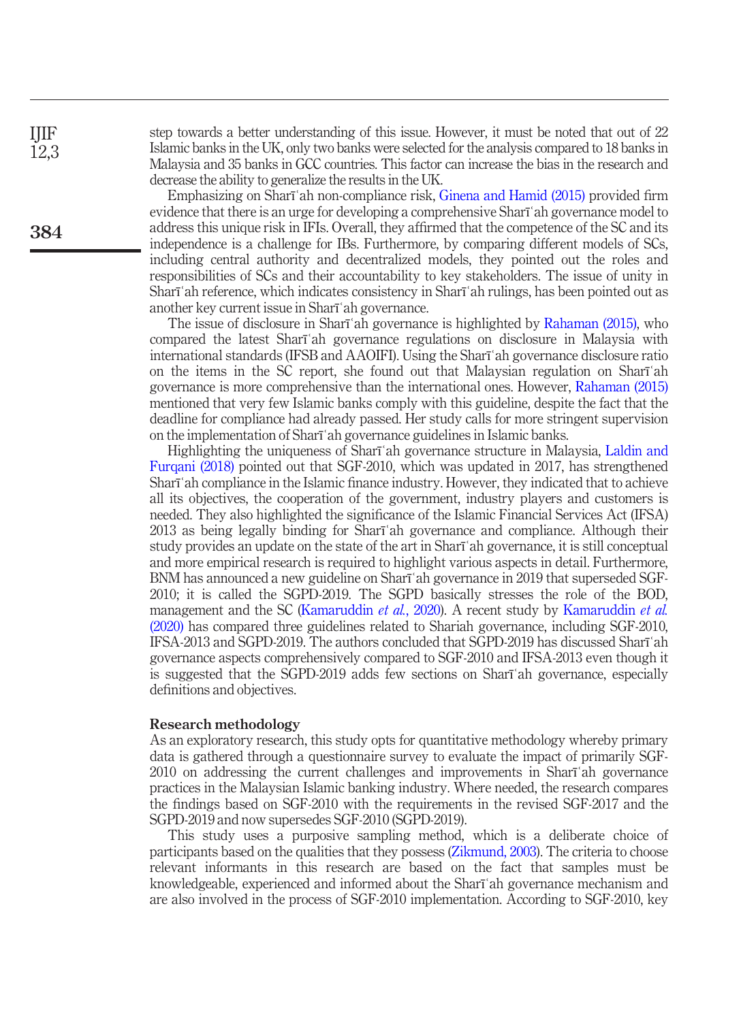step towards a better understanding of this issue. However, it must be noted that out of 22 Islamic banks in the UK, only two banks were selected for the analysis compared to 18 banks in Malaysia and 35 banks in GCC countries. This factor can increase the bias in the research and decrease the ability to generalize the results in the UK.

Emphasizing on Sharīʿah non-compliance risk, [Ginena and Hamid \(2015\)](#page-18-11) provided firm evidence that there is an urge for developing a comprehensive Sharīʿah governance model to address this unique risk in IFIs. Overall, they affirmed that the competence of the SC and its independence is a challenge for IBs. Furthermore, by comparing different models of SCs, including central authority and decentralized models, they pointed out the roles and responsibilities of SCs and their accountability to key stakeholders. The issue of unity in Sharīʿah reference, which indicates consistency in Sharīʿah rulings, has been pointed out as another key current issue in Sharīʿah governance.

The issue of disclosure in Sharīʿah governance is highlighted by [Rahaman \(2015\)](#page-18-12), who compared the latest Sharīʿah governance regulations on disclosure in Malaysia with international standards (IFSB and AAOIFI). Using the Sharīʿah governance disclosure ratio on the items in the SC report, she found out that Malaysian regulation on Sharīʿah governance is more comprehensive than the international ones. However, [Rahaman \(2015\)](#page-18-12) mentioned that very few Islamic banks comply with this guideline, despite the fact that the deadline for compliance had already passed. Her study calls for more stringent supervision on the implementation of Sharīʿah governance guidelines in Islamic banks.

Highlighting the uniqueness of Sharīʿah governance structure in Malaysia, [Laldin and](#page-18-13) [Furqani \(2018\)](#page-18-13) pointed out that SGF-2010, which was updated in 2017, has strengthened Sharīʿah compliance in the Islamic finance industry. However, they indicated that to achieve all its objectives, the cooperation of the government, industry players and customers is needed. They also highlighted the significance of the Islamic Financial Services Act (IFSA) 2013 as being legally binding for Sharīʿah governance and compliance. Although their study provides an update on the state of the art in Sharīʿah governance, it is still conceptual and more empirical research is required to highlight various aspects in detail. Furthermore, BNM has announced a new guideline on Sharīʿah governance in 2019 that superseded SGF-2010; it is called the SGPD-2019. The SGPD basically stresses the role of the BOD, management and the SC ([Kamaruddin](#page-18-14) et al., 2020). A recent study by Kamaruddin et al. [\(2020\)](#page-18-14) has compared three guidelines related to Shariah governance, including SGF-2010, IFSA-2013 and SGPD-2019. The authors concluded that SGPD-2019 has discussed Sharīʿah governance aspects comprehensively compared to SGF-2010 and IFSA-2013 even though it is suggested that the SGPD-2019 adds few sections on Sharīʿah governance, especially definitions and objectives.

#### Research methodology

As an exploratory research, this study opts for quantitative methodology whereby primary data is gathered through a questionnaire survey to evaluate the impact of primarily SGF-2010 on addressing the current challenges and improvements in Sharīʿah governance practices in the Malaysian Islamic banking industry. Where needed, the research compares the findings based on SGF-2010 with the requirements in the revised SGF-2017 and the SGPD-2019 and now supersedes SGF-2010 (SGPD-2019).

This study uses a purposive sampling method, which is a deliberate choice of participants based on the qualities that they possess ([Zikmund, 2003](#page-18-15)). The criteria to choose relevant informants in this research are based on the fact that samples must be knowledgeable, experienced and informed about the Sharīʿah governance mechanism and are also involved in the process of SGF-2010 implementation. According to SGF-2010, key

IJIF 12,3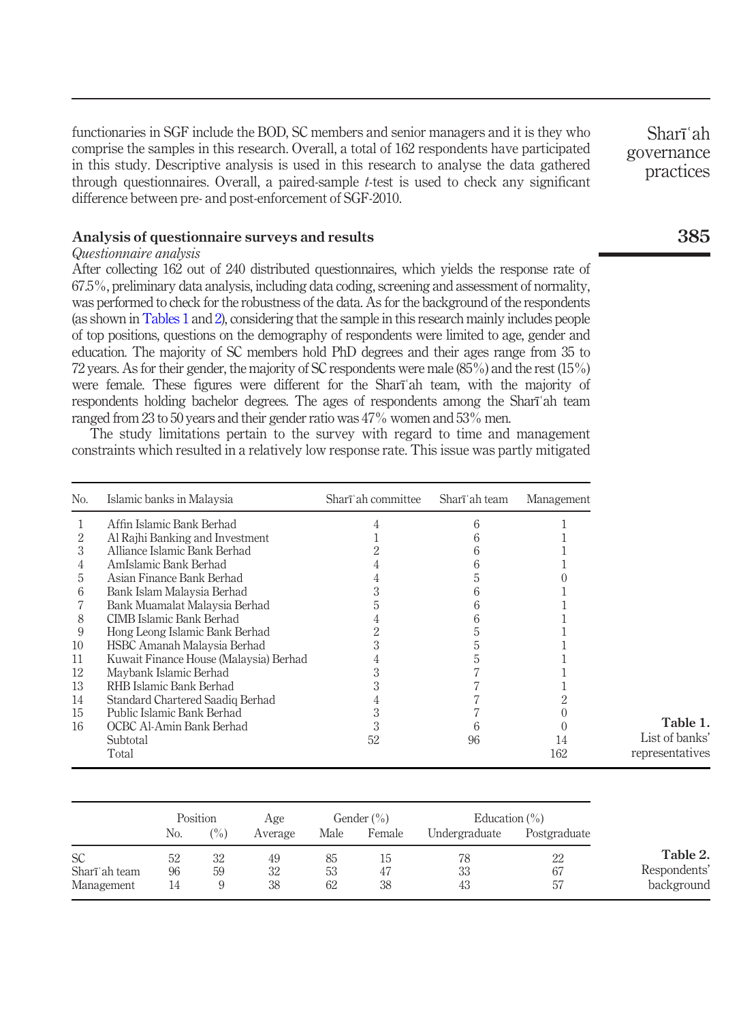functionaries in SGF include the BOD, SC members and senior managers and it is they who comprise the samples in this research. Overall, a total of 162 respondents have participated in this study. Descriptive analysis is used in this research to analyse the data gathered through questionnaires. Overall, a paired-sample  $t$ -test is used to check any significant difference between pre- and post-enforcement of SGF-2010.

#### Analysis of questionnaire surveys and results

#### Questionnaire analysis

After collecting 162 out of 240 distributed questionnaires, which yields the response rate of 67.5%, preliminary data analysis, including data coding, screening and assessment of normality, was performed to check for the robustness of the data. As for the background of the respondents (as shown in [Tables 1](#page-4-0) and [2](#page-4-1)), considering that the sample in this research mainly includes people of top positions, questions on the demography of respondents were limited to age, gender and education. The majority of SC members hold PhD degrees and their ages range from 35 to 72 years. As for their gender, the majority of SC respondents were male (85%) and the rest (15%) were female. These figures were different for the Sharīʿah team, with the majority of respondents holding bachelor degrees. The ages of respondents among the Sharīʿah team ranged from 23 to 50 years and their gender ratio was 47% women and 53% men.

The study limitations pertain to the survey with regard to time and management constraints which resulted in a relatively low response rate. This issue was partly mitigated

| No. | Islamic banks in Malaysia              | Shari'ah committee | Shari'ah team | Management |
|-----|----------------------------------------|--------------------|---------------|------------|
|     | Affin Islamic Bank Berhad              |                    | h             |            |
|     | Al Rajhi Banking and Investment        |                    |               |            |
| 3   | Alliance Islamic Bank Berhad           |                    |               |            |
|     | AmIslamic Bank Berhad                  |                    |               |            |
| 5   | Asian Finance Bank Berhad              |                    |               |            |
| b   | Bank Islam Malaysia Berhad             |                    |               |            |
|     | Bank Muamalat Malaysia Berhad          |                    |               |            |
| 8   | CIMB Islamic Bank Berhad               |                    |               |            |
| 9   | Hong Leong Islamic Bank Berhad         |                    |               |            |
| 10  | HSBC Amanah Malaysia Berhad            |                    |               |            |
| 11  | Kuwait Finance House (Malaysia) Berhad |                    |               |            |
| 12  | Maybank Islamic Berhad                 |                    |               |            |
| 13  | RHB Islamic Bank Berhad                |                    |               |            |
| 14  | Standard Chartered Saadig Berhad       |                    |               |            |
| 15  | Public Islamic Bank Berhad             |                    |               |            |
| 16  | OCBC Al-Amin Bank Berhad               |                    |               |            |
|     | Subtotal                               | 52                 | 96            | 14         |
|     | Total                                  |                    |               | 162        |

|               |     | Position | Age     |      | Gender $(\% )$ | Education $(\% )$ |              |              |
|---------------|-----|----------|---------|------|----------------|-------------------|--------------|--------------|
|               | No. | (%)      | Average | Male | Female         | Undergraduate     | Postgraduate |              |
| <sub>SC</sub> | 52  | 32       | 49      | 85   | Тb             | 78                | 22           | Table 2.     |
| Sharī'ah team | 96  | 59       | 32      | 53   | 47             | 33                | 67           | Respondents' |
| Management    | 14  |          | 38      | 62   | 38             | 43                | 57           | background   |

Sharīʿah governance practices

<span id="page-4-1"></span><span id="page-4-0"></span>Table 1. List of banks' representatives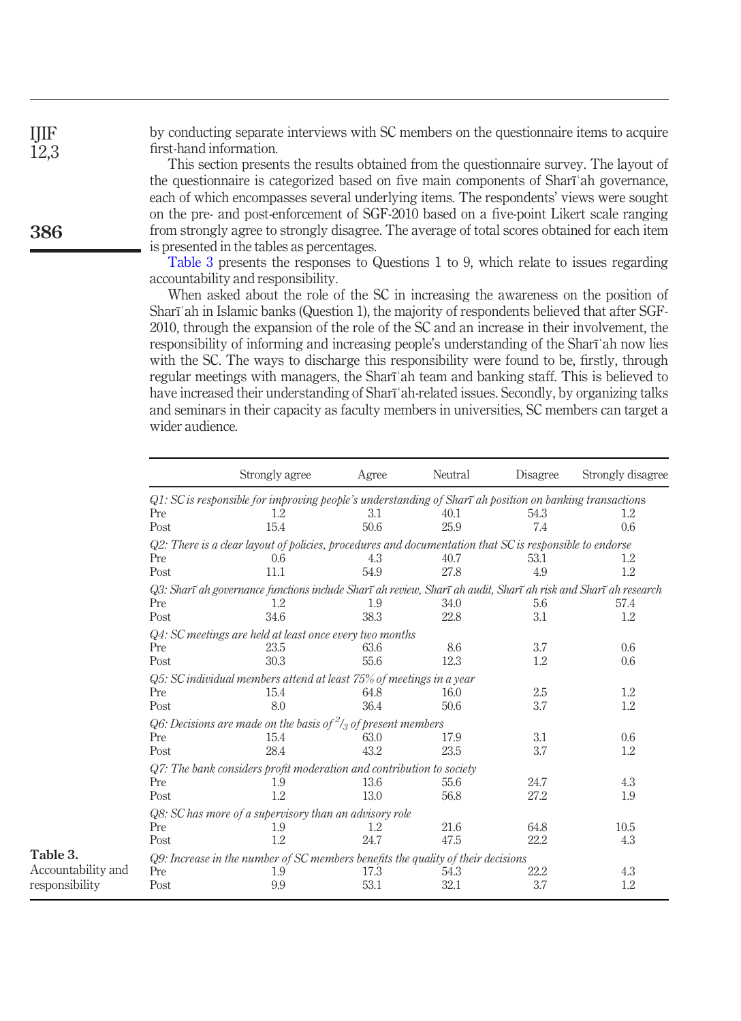by conducting separate interviews with SC members on the questionnaire items to acquire first-hand information.

This section presents the results obtained from the questionnaire survey. The layout of the questionnaire is categorized based on five main components of Sharīʿah governance, each of which encompasses several underlying items. The respondents' views were sought on the pre- and post-enforcement of SGF-2010 based on a five-point Likert scale ranging from strongly agree to strongly disagree. The average of total scores obtained for each item is presented in the tables as percentages.

[Table 3](#page-5-0) presents the responses to Questions 1 to 9, which relate to issues regarding accountability and responsibility.

When asked about the role of the SC in increasing the awareness on the position of Sharīʿah in Islamic banks (Question 1), the majority of respondents believed that after SGF-2010, through the expansion of the role of the SC and an increase in their involvement, the responsibility of informing and increasing people's understanding of the Sharīʿah now lies with the SC. The ways to discharge this responsibility were found to be, firstly, through regular meetings with managers, the Sharīʿah team and banking staff. This is believed to have increased their understanding of Sharīʿah-related issues. Secondly, by organizing talks and seminars in their capacity as faculty members in universities, SC members can target a wider audience.

<span id="page-5-0"></span>

|                    |      | Strongly agree                                                                                                 | Agree | Neutral | Disagree | Strongly disagree |
|--------------------|------|----------------------------------------------------------------------------------------------------------------|-------|---------|----------|-------------------|
|                    |      | $Q1$ : SC is responsible for improving people's understanding of Shart ah position on banking transactions     |       |         |          |                   |
|                    | Pre  | 1.2                                                                                                            | 3.1   | 40.1    | 54.3     | $1.2\,$           |
|                    | Post | 15.4                                                                                                           | 50.6  | 25.9    | 7.4      | 0.6               |
|                    |      | $Q2$ : There is a clear layout of policies, procedures and documentation that SC is responsible to endorse     |       |         |          |                   |
|                    | Pre  | 0.6                                                                                                            | 4.3   | 40.7    | 53.1     | $1.2\,$           |
|                    | Post | 11.1                                                                                                           | 54.9  | 27.8    | 4.9      | 1.2               |
|                    |      | Q3: Sharī ah governance functions include Sharī ah review, Sharī ah audit, Sharī ah risk and Sharī ah research |       |         |          |                   |
|                    | Pre  | 1.2                                                                                                            | 1.9   | 34.0    | 5.6      | 57.4              |
|                    | Post | 34.6                                                                                                           | 38.3  | 22.8    | 3.1      | 1.2               |
|                    |      | Q4: SC meetings are held at least once every two months                                                        |       |         |          |                   |
|                    | Pre  | 23.5                                                                                                           | 63.6  | 8.6     | 3.7      | 0.6               |
|                    | Post | 30.3                                                                                                           | 55.6  | 12.3    | 1.2      | 0.6               |
|                    |      | Q5: SC individual members attend at least 75% of meetings in a year                                            |       |         |          |                   |
|                    | Pre  | 15.4                                                                                                           | 64.8  | 16.0    | 2.5      | 1.2               |
|                    | Post | 8.0                                                                                                            | 36.4  | 50.6    | 3.7      | 1.2               |
|                    |      | Q6: Decisions are made on the basis of $\frac{2}{3}$ of present members                                        |       |         |          |                   |
|                    | Pre  | 15.4                                                                                                           | 63.0  | 17.9    | 3.1      | 0.6               |
|                    | Post | 28.4                                                                                                           | 43.2  | 23.5    | 3.7      | 1.2               |
|                    |      | Q7: The bank considers profit moderation and contribution to society                                           |       |         |          |                   |
|                    | Pre  | 1.9                                                                                                            | 13.6  | 55.6    | 24.7     | 4.3               |
|                    | Post | 1.2                                                                                                            | 13.0  | 56.8    | 27.2     | 1.9               |
|                    |      | Q8: SC has more of a supervisory than an advisory role                                                         |       |         |          |                   |
|                    | Pre  | 1.9                                                                                                            | 1.2   | 21.6    | 64.8     | 10.5              |
|                    | Post | 1.2                                                                                                            | 24.7  | 47.5    | 22.2     | 4.3               |
| Table 3.           |      | Q9: Increase in the number of SC members benefits the quality of their decisions                               |       |         |          |                   |
| Accountability and | Pre  | 1.9                                                                                                            | 17.3  | 54.3    | 22.2     | 4.3               |
| responsibility     | Post | 9.9                                                                                                            | 53.1  | 32.1    | 3.7      | 1.2               |
|                    |      |                                                                                                                |       |         |          |                   |

386

IJIF 12,3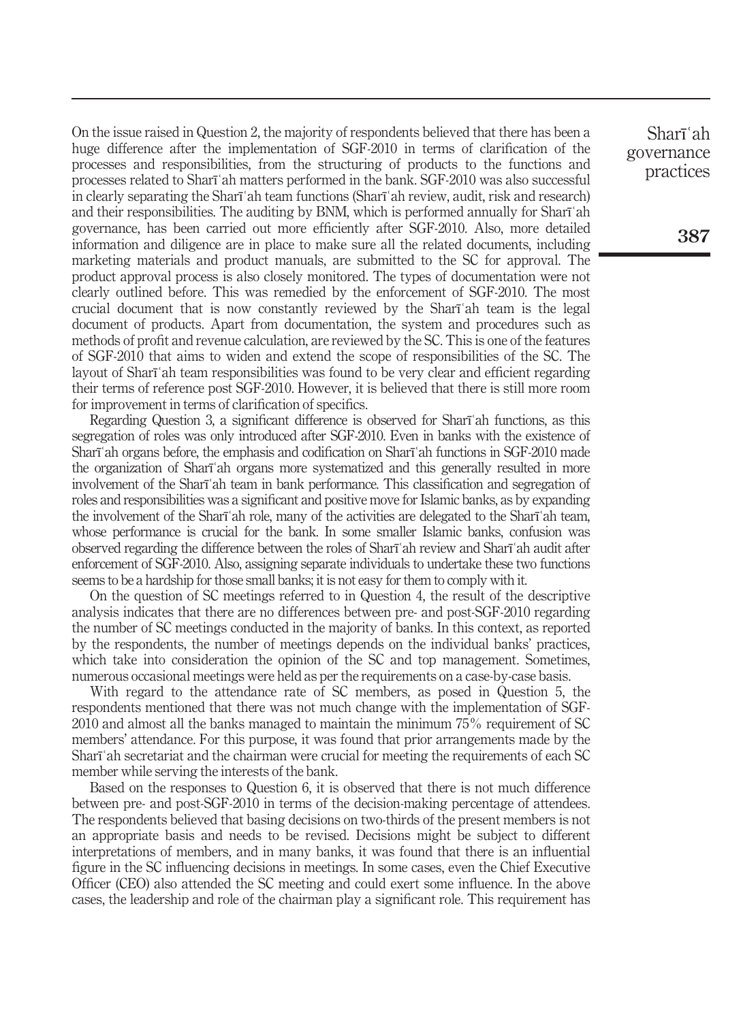On the issue raised in Question 2, the majority of respondents believed that there has been a huge difference after the implementation of SGF-2010 in terms of clarification of the processes and responsibilities, from the structuring of products to the functions and processes related to Sharīʿah matters performed in the bank. SGF-2010 was also successful in clearly separating the Sharīʿah team functions (Sharīʿah review, audit, risk and research) and their responsibilities. The auditing by BNM, which is performed annually for Sharīʿah governance, has been carried out more efficiently after SGF-2010. Also, more detailed information and diligence are in place to make sure all the related documents, including marketing materials and product manuals, are submitted to the SC for approval. The product approval process is also closely monitored. The types of documentation were not clearly outlined before. This was remedied by the enforcement of SGF-2010. The most crucial document that is now constantly reviewed by the Sharīʿah team is the legal document of products. Apart from documentation, the system and procedures such as methods of profit and revenue calculation, are reviewed by the SC. This is one of the features of SGF-2010 that aims to widen and extend the scope of responsibilities of the SC. The layout of Sharīʿah team responsibilities was found to be very clear and efficient regarding their terms of reference post SGF-2010. However, it is believed that there is still more room for improvement in terms of clarification of specifics.

Regarding Question 3, a significant difference is observed for Sharīʿah functions, as this segregation of roles was only introduced after SGF-2010. Even in banks with the existence of Sharīʿah organs before, the emphasis and codification on Sharīʿah functions in SGF-2010 made the organization of Sharīʿah organs more systematized and this generally resulted in more involvement of the Sharīʿah team in bank performance. This classification and segregation of roles and responsibilities was a significant and positive move for Islamic banks, as by expanding the involvement of the Sharīʿah role, many of the activities are delegated to the Sharīʿah team, whose performance is crucial for the bank. In some smaller Islamic banks, confusion was observed regarding the difference between the roles of Sharīʿah review and Sharīʿah audit after enforcement of SGF-2010. Also, assigning separate individuals to undertake these two functions seems to be a hardship for those small banks; it is not easy for them to comply with it.

On the question of SC meetings referred to in Question 4, the result of the descriptive analysis indicates that there are no differences between pre- and post-SGF-2010 regarding the number of SC meetings conducted in the majority of banks. In this context, as reported by the respondents, the number of meetings depends on the individual banks' practices, which take into consideration the opinion of the SC and top management. Sometimes, numerous occasional meetings were held as per the requirements on a case-by-case basis.

With regard to the attendance rate of SC members, as posed in Question 5, the respondents mentioned that there was not much change with the implementation of SGF-2010 and almost all the banks managed to maintain the minimum 75% requirement of SC members' attendance. For this purpose, it was found that prior arrangements made by the Sharīʿah secretariat and the chairman were crucial for meeting the requirements of each SC member while serving the interests of the bank.

Based on the responses to Question 6, it is observed that there is not much difference between pre- and post-SGF-2010 in terms of the decision-making percentage of attendees. The respondents believed that basing decisions on two-thirds of the present members is not an appropriate basis and needs to be revised. Decisions might be subject to different interpretations of members, and in many banks, it was found that there is an influential figure in the SC influencing decisions in meetings. In some cases, even the Chief Executive Officer (CEO) also attended the SC meeting and could exert some influence. In the above cases, the leadership and role of the chairman play a significant role. This requirement has

Sharīʿah governance practices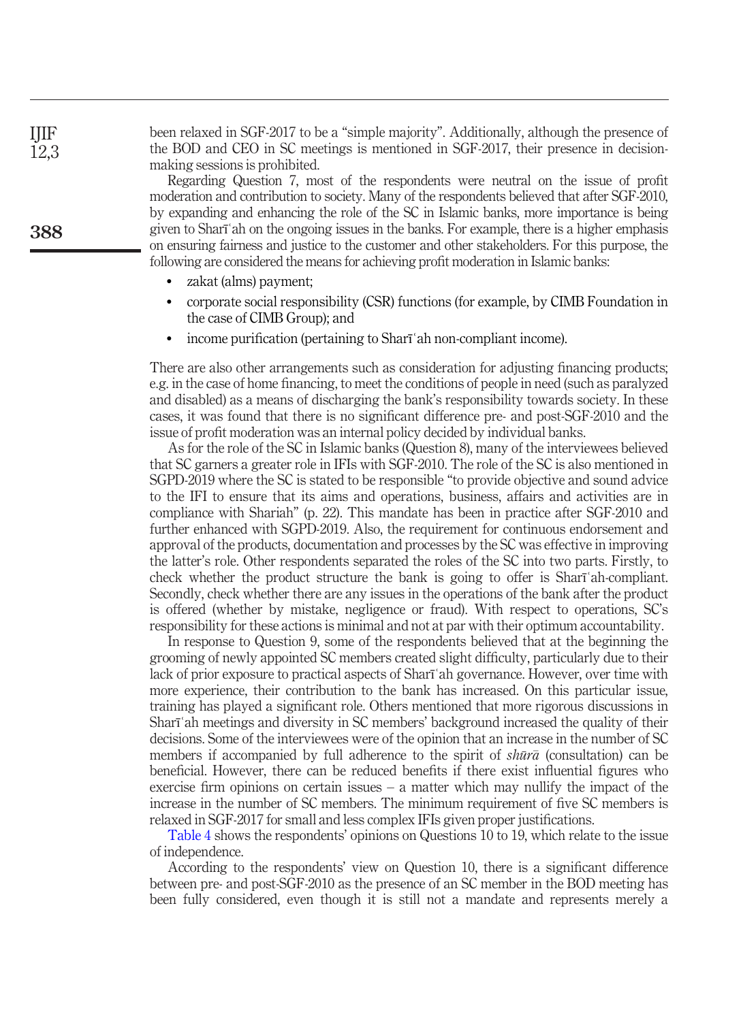been relaxed in SGF-2017 to be a "simple majority". Additionally, although the presence of the BOD and CEO in SC meetings is mentioned in SGF-2017, their presence in decisionmaking sessions is prohibited.

Regarding Question 7, most of the respondents were neutral on the issue of profit moderation and contribution to society. Many of the respondents believed that after SGF-2010, by expanding and enhancing the role of the SC in Islamic banks, more importance is being given to Sharīʿah on the ongoing issues in the banks. For example, there is a higher emphasis on ensuring fairness and justice to the customer and other stakeholders. For this purpose, the following are considered the means for achieving profit moderation in Islamic banks:

- zakat (alms) payment;
- corporate social responsibility (CSR) functions (for example, by CIMB Foundation in the case of CIMB Group); and
- income purification (pertaining to Sharīʿah non-compliant income).

There are also other arrangements such as consideration for adjusting financing products; e.g. in the case of home financing, to meet the conditions of people in need (such as paralyzed and disabled) as a means of discharging the bank's responsibility towards society. In these cases, it was found that there is no significant difference pre- and post-SGF-2010 and the issue of profit moderation was an internal policy decided by individual banks.

As for the role of the SC in Islamic banks (Question 8), many of the interviewees believed that SC garners a greater role in IFIs with SGF-2010. The role of the SC is also mentioned in SGPD-2019 where the SC is stated to be responsible "to provide objective and sound advice to the IFI to ensure that its aims and operations, business, affairs and activities are in compliance with Shariah" (p. 22). This mandate has been in practice after SGF-2010 and further enhanced with SGPD-2019. Also, the requirement for continuous endorsement and approval of the products, documentation and processes by the SC was effective in improving the latter's role. Other respondents separated the roles of the SC into two parts. Firstly, to check whether the product structure the bank is going to offer is Sharīʿah-compliant. Secondly, check whether there are any issues in the operations of the bank after the product is offered (whether by mistake, negligence or fraud). With respect to operations, SC's responsibility for these actions is minimal and not at par with their optimum accountability.

In response to Question 9, some of the respondents believed that at the beginning the grooming of newly appointed SC members created slight difficulty, particularly due to their lack of prior exposure to practical aspects of Sharīʿah governance. However, over time with more experience, their contribution to the bank has increased. On this particular issue, training has played a significant role. Others mentioned that more rigorous discussions in Sharīʿah meetings and diversity in SC members' background increased the quality of their decisions. Some of the interviewees were of the opinion that an increase in the number of SC members if accompanied by full adherence to the spirit of  $shūr\bar{a}$  (consultation) can be beneficial. However, there can be reduced benefits if there exist influential figures who exercise firm opinions on certain issues  $-$  a matter which may nullify the impact of the increase in the number of SC members. The minimum requirement of five SC members is relaxed in SGF-2017 for small and less complex IFIs given proper justifications.

[Table 4](#page-8-0) shows the respondents' opinions on Questions 10 to 19, which relate to the issue of independence.

According to the respondents' view on Question 10, there is a significant difference between pre- and post-SGF-2010 as the presence of an SC member in the BOD meeting has been fully considered, even though it is still not a mandate and represents merely a

IJIF 12,3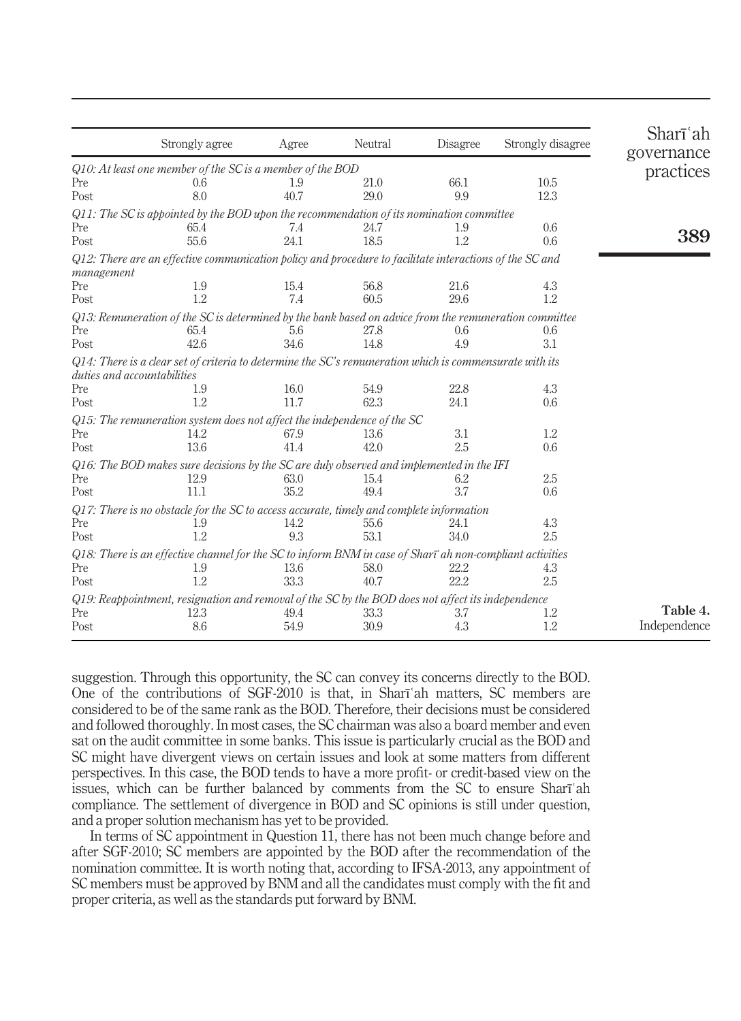|                             |                                                                                                             |       |         |          |                   | Sharīʿah     |
|-----------------------------|-------------------------------------------------------------------------------------------------------------|-------|---------|----------|-------------------|--------------|
|                             | Strongly agree                                                                                              | Agree | Neutral | Disagree | Strongly disagree | governance   |
|                             | Q10: At least one member of the SC is a member of the BOD                                                   |       |         |          |                   | practices    |
| Pre                         | 0.6                                                                                                         | 1.9   | 21.0    | 66.1     | 10.5              |              |
| Post                        | 8.0                                                                                                         | 40.7  | 29.0    | 9.9      | 12.3              |              |
|                             | $Q11$ : The SC is appointed by the BOD upon the recommendation of its nomination committee                  |       |         |          |                   |              |
| Pre                         | 65.4                                                                                                        | 7.4   | 24.7    | 1.9      | 0.6               |              |
| Post                        | 55.6                                                                                                        | 24.1  | 18.5    | 1.2      | 0.6               | 389          |
| management                  | Q12: There are an effective communication policy and procedure to facilitate interactions of the SC and     |       |         |          |                   |              |
| Pre                         | 1.9                                                                                                         | 15.4  | 56.8    | 21.6     | 4.3               |              |
| Post                        | 1.2                                                                                                         | 7.4   | 60.5    | 29.6     | 1.2               |              |
|                             | $Q13$ : Remuneration of the SC is determined by the bank based on advice from the remuneration committee    |       |         |          |                   |              |
| Pre                         | 65.4                                                                                                        | 5.6   | 27.8    | 0.6      | 0.6               |              |
| Post                        | 42.6                                                                                                        | 34.6  | 14.8    | 4.9      | 3.1               |              |
| duties and accountabilities | $Q14$ : There is a clear set of criteria to determine the SC's remuneration which is commensurate with its  |       |         |          |                   |              |
| Pre                         | 1.9                                                                                                         | 16.0  | 54.9    | 22.8     | 4.3               |              |
| Post                        | 1.2                                                                                                         | 11.7  | 62.3    | 24.1     | 0.6               |              |
|                             | Q15: The remuneration system does not affect the independence of the SC                                     |       |         |          |                   |              |
| Pre                         | 14.2                                                                                                        | 67.9  | 13.6    | 3.1      | 1.2               |              |
| Post                        | 13.6                                                                                                        | 41.4  | 42.0    | 2.5      | 0.6               |              |
|                             | $Q16$ : The BOD makes sure decisions by the SC are duly observed and implemented in the IFI                 |       |         |          |                   |              |
| Pre                         | 12.9                                                                                                        | 63.0  | 15.4    | 6.2      | 2.5               |              |
| Post                        | 11.1                                                                                                        | 35.2  | 49.4    | 3.7      | 0.6               |              |
|                             | $Q17$ : There is no obstacle for the SC to access accurate, timely and complete information                 |       |         |          |                   |              |
| Pre                         | 1.9                                                                                                         | 14.2  | 55.6    | 24.1     | 4.3               |              |
| Post                        | 1.2                                                                                                         | 9.3   | 53.1    | 34.0     | 2.5               |              |
|                             | $Q18$ : There is an effective channel for the SC to inform BNM in case of Shart ah non-compliant activities |       |         |          |                   |              |
| Pre                         | 1.9                                                                                                         | 13.6  | 58.0    | 22.2     | 4.3               |              |
| Post                        | 1.2                                                                                                         | 33.3  | 40.7    | 22.2     | 2.5               |              |
|                             | $Q19$ : Reappointment, resignation and removal of the SC by the BOD does not affect its independence        |       |         |          |                   | Table 4.     |
| Pre                         | 12.3                                                                                                        | 49.4  | 33.3    | 3.7      | 1.2               |              |
| Post                        | 8.6                                                                                                         | 54.9  | 30.9    | 4.3      | 1.2               | Independence |

<span id="page-8-0"></span>suggestion. Through this opportunity, the SC can convey its concerns directly to the BOD. One of the contributions of SGF-2010 is that, in Sharīʿah matters, SC members are considered to be of the same rank as the BOD. Therefore, their decisions must be considered and followed thoroughly. In most cases, the SC chairman was also a board member and even sat on the audit committee in some banks. This issue is particularly crucial as the BOD and SC might have divergent views on certain issues and look at some matters from different perspectives. In this case, the BOD tends to have a more profit- or credit-based view on the issues, which can be further balanced by comments from the SC to ensure Sharīʿah compliance. The settlement of divergence in BOD and SC opinions is still under question, and a proper solution mechanism has yet to be provided.

In terms of SC appointment in Question 11, there has not been much change before and after SGF-2010; SC members are appointed by the BOD after the recommendation of the nomination committee. It is worth noting that, according to IFSA-2013, any appointment of SC members must be approved by BNM and all the candidates must comply with the fit and proper criteria, as well as the standards put forward by BNM.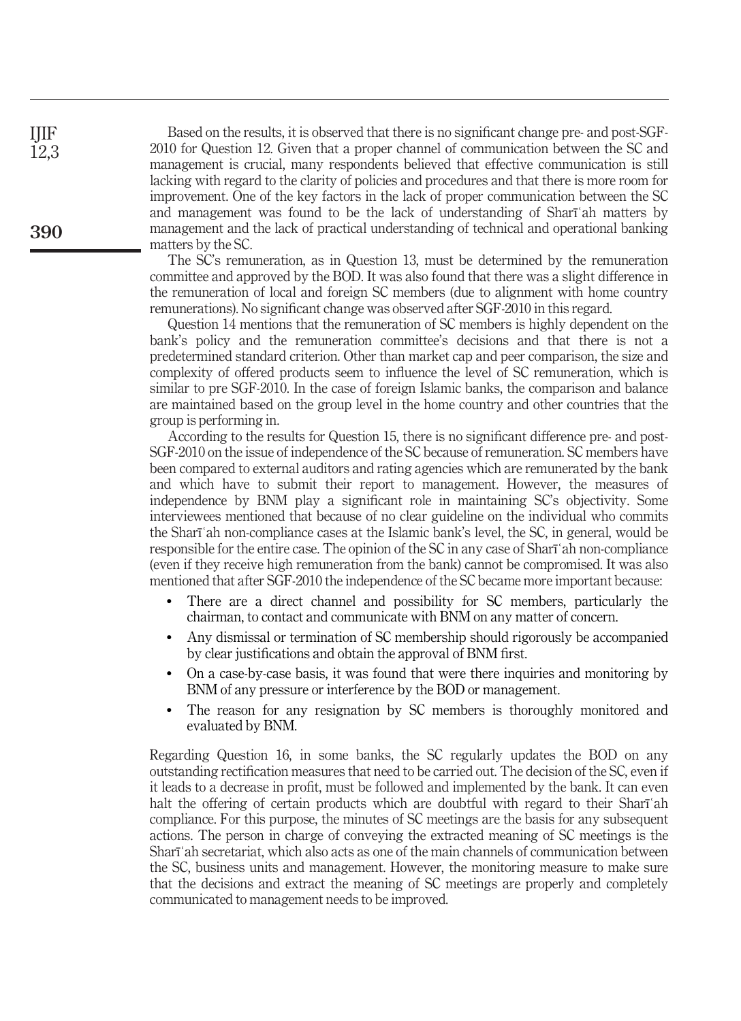Based on the results, it is observed that there is no significant change pre- and post-SGF-2010 for Question 12. Given that a proper channel of communication between the SC and management is crucial, many respondents believed that effective communication is still lacking with regard to the clarity of policies and procedures and that there is more room for improvement. One of the key factors in the lack of proper communication between the SC and management was found to be the lack of understanding of Sharīʿah matters by management and the lack of practical understanding of technical and operational banking matters by the SC.

The SC's remuneration, as in Question 13, must be determined by the remuneration committee and approved by the BOD. It was also found that there was a slight difference in the remuneration of local and foreign SC members (due to alignment with home country remunerations). No significant change was observed after SGF-2010 in this regard.

Question 14 mentions that the remuneration of SC members is highly dependent on the bank's policy and the remuneration committee's decisions and that there is not a predetermined standard criterion. Other than market cap and peer comparison, the size and complexity of offered products seem to influence the level of SC remuneration, which is similar to pre SGF-2010. In the case of foreign Islamic banks, the comparison and balance are maintained based on the group level in the home country and other countries that the group is performing in.

According to the results for Question 15, there is no significant difference pre- and post-SGF-2010 on the issue of independence of the SC because of remuneration. SC members have been compared to external auditors and rating agencies which are remunerated by the bank and which have to submit their report to management. However, the measures of independence by BNM play a significant role in maintaining SC's objectivity. Some interviewees mentioned that because of no clear guideline on the individual who commits the Sharīʿah non-compliance cases at the Islamic bank's level, the SC, in general, would be responsible for the entire case. The opinion of the SC in any case of Sharīʿah non-compliance (even if they receive high remuneration from the bank) cannot be compromised. It was also mentioned that after SGF-2010 the independence of the SC became more important because:

- There are a direct channel and possibility for SC members, particularly the chairman, to contact and communicate with BNM on any matter of concern.
- Any dismissal or termination of SC membership should rigorously be accompanied by clear justifications and obtain the approval of BNM first.
- On a case-by-case basis, it was found that were there inquiries and monitoring by BNM of any pressure or interference by the BOD or management.
- The reason for any resignation by SC members is thoroughly monitored and evaluated by BNM.

Regarding Question 16, in some banks, the SC regularly updates the BOD on any outstanding rectification measures that need to be carried out. The decision of the SC, even if it leads to a decrease in profit, must be followed and implemented by the bank. It can even halt the offering of certain products which are doubtful with regard to their Sharīʿah compliance. For this purpose, the minutes of SC meetings are the basis for any subsequent actions. The person in charge of conveying the extracted meaning of SC meetings is the Sharīʿah secretariat, which also acts as one of the main channels of communication between the SC, business units and management. However, the monitoring measure to make sure that the decisions and extract the meaning of SC meetings are properly and completely communicated to management needs to be improved.

390

IJIF 12,3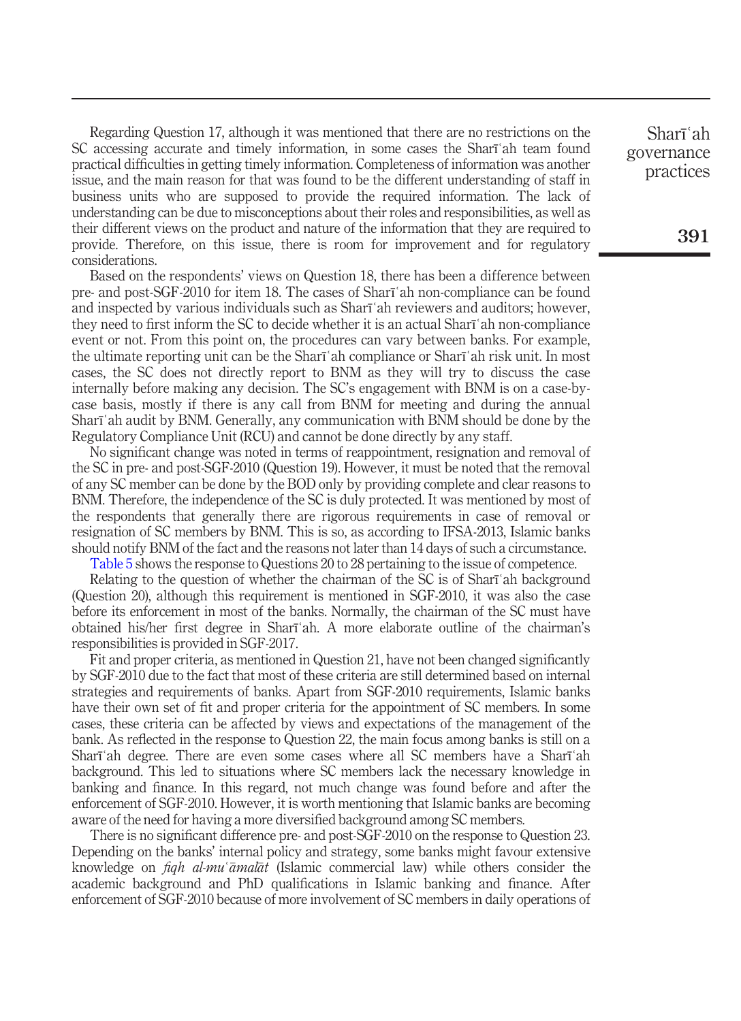Regarding Question 17, although it was mentioned that there are no restrictions on the SC accessing accurate and timely information, in some cases the Sharīʿah team found practical difficulties in getting timely information. Completeness of information was another issue, and the main reason for that was found to be the different understanding of staff in business units who are supposed to provide the required information. The lack of understanding can be due to misconceptions about their roles and responsibilities, as well as their different views on the product and nature of the information that they are required to provide. Therefore, on this issue, there is room for improvement and for regulatory considerations.

Based on the respondents' views on Question 18, there has been a difference between pre- and post-SGF-2010 for item 18. The cases of Sharīʿah non-compliance can be found and inspected by various individuals such as Sharīʿah reviewers and auditors; however, they need to first inform the SC to decide whether it is an actual Sharīʿah non-compliance event or not. From this point on, the procedures can vary between banks. For example, the ultimate reporting unit can be the Sharīʿah compliance or Sharīʿah risk unit. In most cases, the SC does not directly report to BNM as they will try to discuss the case internally before making any decision. The SC's engagement with BNM is on a case-bycase basis, mostly if there is any call from BNM for meeting and during the annual Sharīʿah audit by BNM. Generally, any communication with BNM should be done by the Regulatory Compliance Unit (RCU) and cannot be done directly by any staff.

No significant change was noted in terms of reappointment, resignation and removal of the SC in pre- and post-SGF-2010 (Question 19). However, it must be noted that the removal of any SC member can be done by the BOD only by providing complete and clear reasons to BNM. Therefore, the independence of the SC is duly protected. It was mentioned by most of the respondents that generally there are rigorous requirements in case of removal or resignation of SC members by BNM. This is so, as according to IFSA-2013, Islamic banks should notify BNM of the fact and the reasons not later than 14 days of such a circumstance.

[Table 5](#page-11-0) shows the response to Questions 20 to 28 pertaining to the issue of competence. Relating to the question of whether the chairman of the SC is of Sharīʿah background (Question 20), although this requirement is mentioned in SGF-2010, it was also the case before its enforcement in most of the banks. Normally, the chairman of the SC must have obtained his/her first degree in Sharīʿah. A more elaborate outline of the chairman's responsibilities is provided in SGF-2017.

Fit and proper criteria, as mentioned in Question 21, have not been changed significantly by SGF-2010 due to the fact that most of these criteria are still determined based on internal strategies and requirements of banks. Apart from SGF-2010 requirements, Islamic banks have their own set of fit and proper criteria for the appointment of SC members. In some cases, these criteria can be affected by views and expectations of the management of the bank. As reflected in the response to Question 22, the main focus among banks is still on a Sharīʿah degree. There are even some cases where all SC members have a Sharīʿah background. This led to situations where SC members lack the necessary knowledge in banking and finance. In this regard, not much change was found before and after the enforcement of SGF-2010. However, it is worth mentioning that Islamic banks are becoming aware of the need for having a more diversified background among SC members.

There is no significant difference pre- and post-SGF-2010 on the response to Question 23. Depending on the banks' internal policy and strategy, some banks might favour extensive knowledge on *figh al-mu*<sup> $\bar{a}$ </sup> malari (Islamic commercial law) while others consider the academic background and PhD qualifications in Islamic banking and finance. After enforcement of SGF-2010 because of more involvement of SC members in daily operations of

Sharīʿah governance practices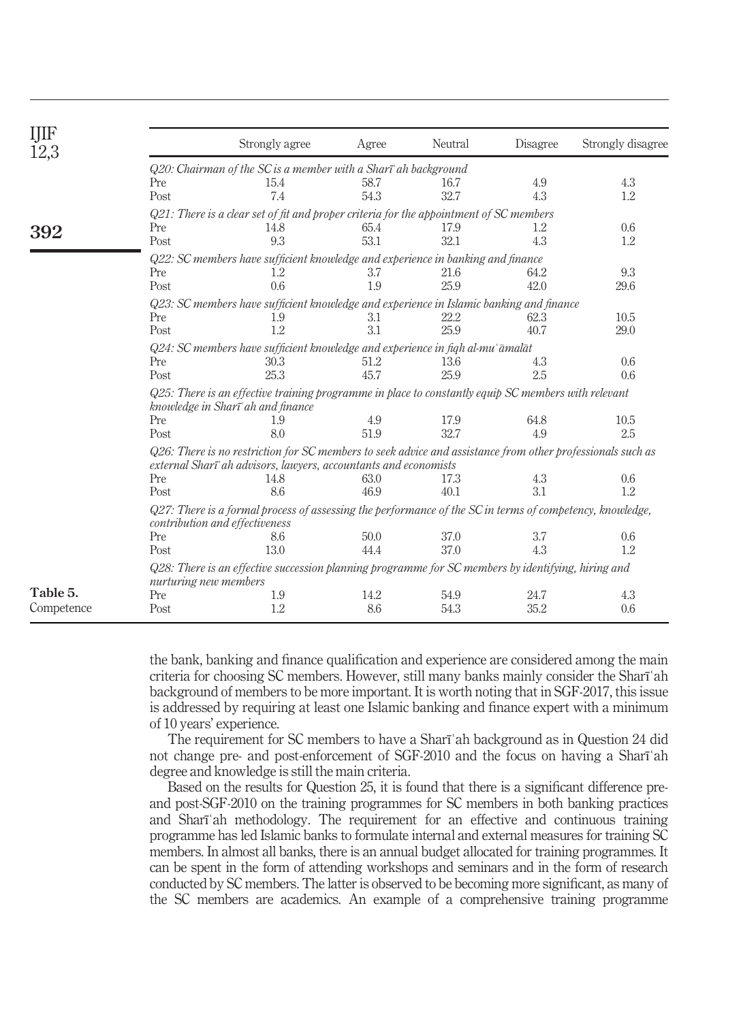|            |                                                                                                                                                                               | Strongly agree | Agree | Neutral | Disagree   | Strongly disagree |
|------------|-------------------------------------------------------------------------------------------------------------------------------------------------------------------------------|----------------|-------|---------|------------|-------------------|
|            | $Q20$ : Chairman of the SC is a member with a Shari ah background                                                                                                             |                |       |         |            |                   |
|            | Pre                                                                                                                                                                           | 15.4           | 58.7  | 16.7    | 4.9        | 4.3               |
|            | Post                                                                                                                                                                          | 7.4            | 54.3  | 32.7    | 4.3        | 1.2               |
|            |                                                                                                                                                                               |                |       |         |            |                   |
|            | $Q21$ : There is a clear set of fit and proper criteria for the appointment of SC members                                                                                     |                |       |         |            |                   |
| 392        | Pre                                                                                                                                                                           | 14.8           | 65.4  | 17.9    | 1.2        | 0.6               |
|            | Post                                                                                                                                                                          | 9.3            | 53.1  | 32.1    | 4.3        | 1.2               |
|            | Q22: SC members have sufficient knowledge and experience in banking and finance                                                                                               |                |       |         |            |                   |
|            | Pre                                                                                                                                                                           | 1.2            | 3.7   | 21.6    | 64.2       | 9.3               |
|            | Post                                                                                                                                                                          | 0.6            | 1.9   | 25.9    | 42.0       | 29.6              |
|            | Q23: SC members have sufficient knowledge and experience in Islamic banking and finance                                                                                       |                |       |         |            |                   |
|            | Pre                                                                                                                                                                           | 1.9            | 3.1   | 22.2    | 62.3       | 10.5              |
|            | Post                                                                                                                                                                          | 1.2            | 3.1   | 25.9    | 40.7       | 29.0              |
|            |                                                                                                                                                                               |                |       |         |            |                   |
|            | Q24: SC members have sufficient knowledge and experience in figh al-mu amalat<br>Pre                                                                                          |                | 51.2  | 13.6    |            | 0.6               |
|            | Post                                                                                                                                                                          | 30.3<br>25.3   | 45.7  | 25.9    | 4.3<br>2.5 | 0.6               |
|            |                                                                                                                                                                               |                |       |         |            |                   |
|            | $Q25$ : There is an effective training programme in place to constantly equip SC members with relevant<br>knowledge in Sharī' ah and finance                                  |                |       |         |            |                   |
|            | Pre                                                                                                                                                                           | 1.9            | 4.9   | 17.9    | 64.8       | 10.5              |
|            | Post                                                                                                                                                                          | 8.0            | 51.9  | 32.7    | 4.9        | 2.5               |
|            | Q26: There is no restriction for SC members to seek advice and assistance from other professionals such as<br>external Shart ah advisors, lawyers, accountants and economists |                |       |         |            |                   |
|            | Pre                                                                                                                                                                           | 14.8           | 63.0  | 17.3    | 4.3        | 0.6               |
|            | Post                                                                                                                                                                          | 8.6            | 46.9  | 40.1    | 3.1        | 1.2               |
|            | Q27: There is a formal process of assessing the performance of the SC in terms of competency, knowledge,<br>contribution and effectiveness                                    |                |       |         |            |                   |
|            | Pre                                                                                                                                                                           | 8.6            | 50.0  | 37.0    | 3.7        | 0.6               |
|            | Post                                                                                                                                                                          | 13.0           | 44.4  | 37.0    | 4.3        | 1.2               |
|            | Q28: There is an effective succession planning programme for SC members by identifying, hiring and<br>nurturing new members                                                   |                |       |         |            |                   |
| Table 5.   | Pre                                                                                                                                                                           | 1.9            | 14.2  | 54.9    | 24.7       | 4.3               |
| Competence | Post                                                                                                                                                                          | 1.2            | 8.6   | 54.3    | 35.2       | 0.6               |
|            |                                                                                                                                                                               |                |       |         |            |                   |

<span id="page-11-0"></span>the bank, banking and finance qualification and experience are considered among the main criteria for choosing SC members. However, still many banks mainly consider the Sharīʿah background of members to be more important. It is worth noting that in SGF-2017, this issue is addressed by requiring at least one Islamic banking and finance expert with a minimum of 10 years' experience.

The requirement for SC members to have a Sharīʿah background as in Question 24 did not change pre- and post-enforcement of SGF-2010 and the focus on having a Sharīʿah degree and knowledge is still the main criteria.

Based on the results for Question 25, it is found that there is a significant difference preand post-SGF-2010 on the training programmes for SC members in both banking practices and Sharīʿah methodology. The requirement for an effective and continuous training programme has led Islamic banks to formulate internal and external measures for training SC members. In almost all banks, there is an annual budget allocated for training programmes. It can be spent in the form of attending workshops and seminars and in the form of research conducted by SC members. The latter is observed to be becoming more significant, as many of the SC members are academics. An example of a comprehensive training programme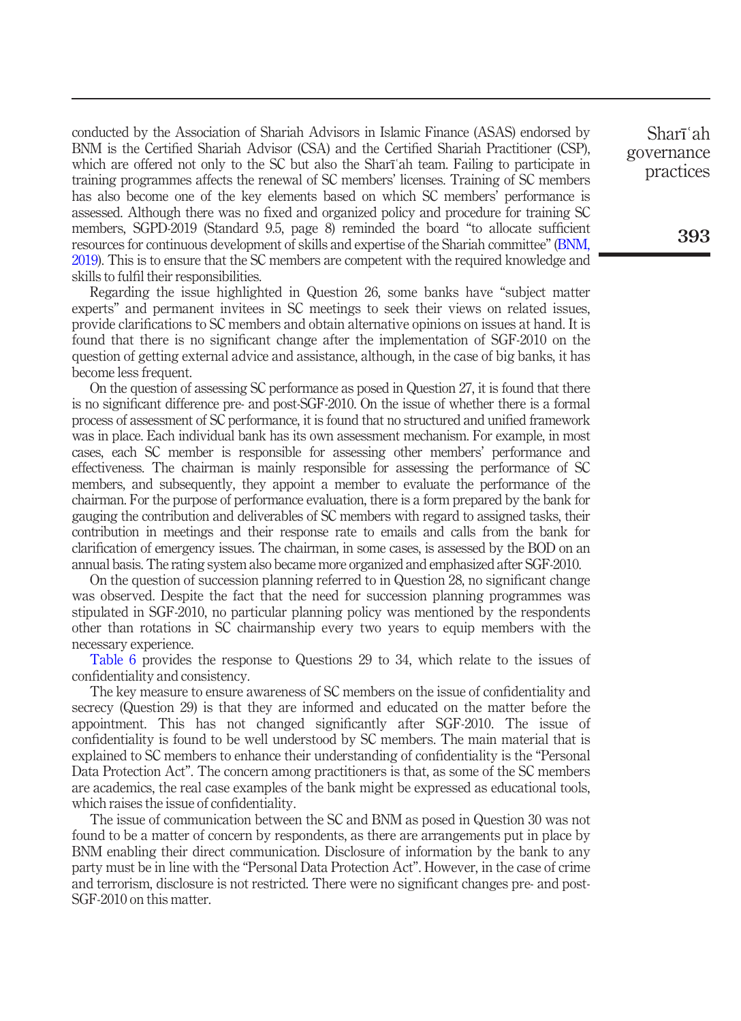conducted by the Association of Shariah Advisors in Islamic Finance (ASAS) endorsed by BNM is the Certified Shariah Advisor (CSA) and the Certified Shariah Practitioner (CSP), which are offered not only to the SC but also the Sharis at team. Failing to participate in training programmes affects the renewal of SC members' licenses. Training of SC members has also become one of the key elements based on which SC members' performance is assessed. Although there was no fixed and organized policy and procedure for training SC members, SGPD-2019 (Standard 9.5, page 8) reminded the board "to allocate sufficient resources for continuous development of skills and expertise of the Shariah committee" [\(BNM,](#page-18-16) [2019](#page-18-16)). This is to ensure that the SC members are competent with the required knowledge and skills to fulfil their responsibilities.

Regarding the issue highlighted in Question 26, some banks have "subject matter experts" and permanent invitees in SC meetings to seek their views on related issues, provide clarifications to SC members and obtain alternative opinions on issues at hand. It is found that there is no significant change after the implementation of SGF-2010 on the question of getting external advice and assistance, although, in the case of big banks, it has become less frequent.

On the question of assessing SC performance as posed in Question 27, it is found that there is no significant difference pre- and post-SGF-2010. On the issue of whether there is a formal process of assessment of SC performance, it is found that no structured and unified framework was in place. Each individual bank has its own assessment mechanism. For example, in most cases, each SC member is responsible for assessing other members' performance and effectiveness. The chairman is mainly responsible for assessing the performance of SC members, and subsequently, they appoint a member to evaluate the performance of the chairman. For the purpose of performance evaluation, there is a form prepared by the bank for gauging the contribution and deliverables of SC members with regard to assigned tasks, their contribution in meetings and their response rate to emails and calls from the bank for clarification of emergency issues. The chairman, in some cases, is assessed by the BOD on an annual basis. The rating system also became more organized and emphasized after SGF-2010.

On the question of succession planning referred to in Question 28, no significant change was observed. Despite the fact that the need for succession planning programmes was stipulated in SGF-2010, no particular planning policy was mentioned by the respondents other than rotations in SC chairmanship every two years to equip members with the necessary experience.

[Table 6](#page-13-0) provides the response to Questions 29 to 34, which relate to the issues of confidentiality and consistency.

The key measure to ensure awareness of SC members on the issue of confidentiality and secrecy (Question 29) is that they are informed and educated on the matter before the appointment. This has not changed significantly after SGF-2010. The issue of confidentiality is found to be well understood by SC members. The main material that is explained to SC members to enhance their understanding of confidentiality is the "Personal Data Protection Act". The concern among practitioners is that, as some of the SC members are academics, the real case examples of the bank might be expressed as educational tools, which raises the issue of confidentiality.

The issue of communication between the SC and BNM as posed in Question 30 was not found to be a matter of concern by respondents, as there are arrangements put in place by BNM enabling their direct communication. Disclosure of information by the bank to any party must be in line with the "Personal Data Protection Act". However, in the case of crime and terrorism, disclosure is not restricted. There were no significant changes pre- and post-SGF-2010 on this matter.

Sharīʿah governance practices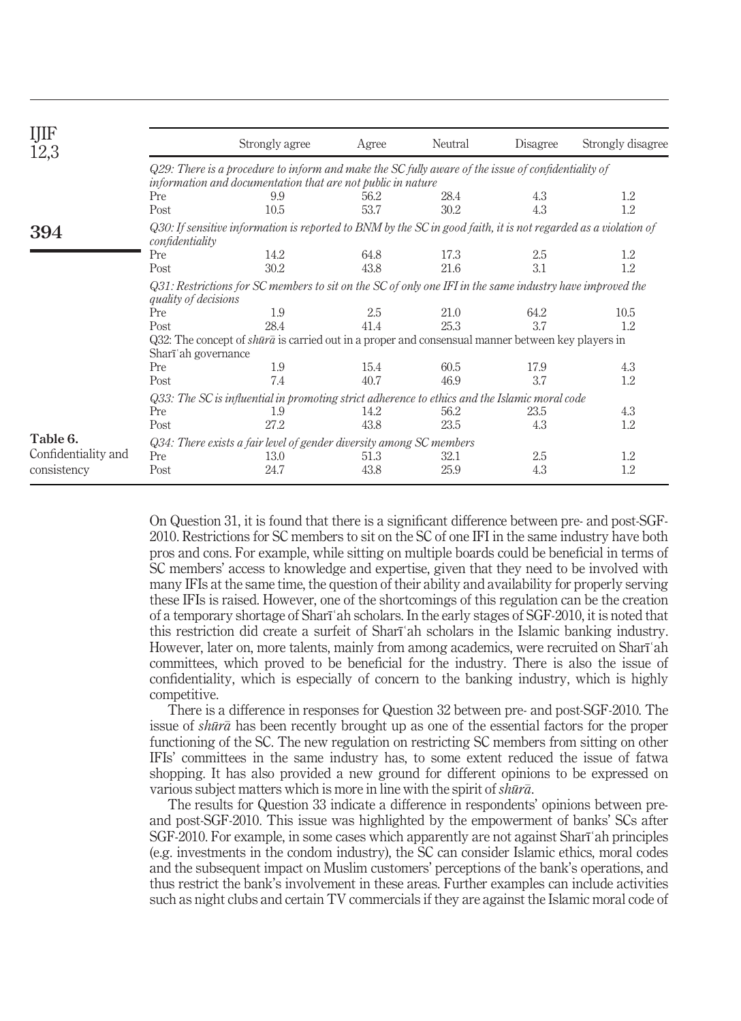| 12,3                                           |                             | Strongly agree                                                                                                                                                       | Agree        | Neutral      | Disagree    | Strongly disagree |
|------------------------------------------------|-----------------------------|----------------------------------------------------------------------------------------------------------------------------------------------------------------------|--------------|--------------|-------------|-------------------|
|                                                |                             | $Q29$ : There is a procedure to inform and make the SC fully aware of the issue of confidentiality of<br>information and documentation that are not public in nature |              |              |             |                   |
|                                                | Pre<br>Post                 | 9.9<br>10.5                                                                                                                                                          | 56.2<br>53.7 | 28.4<br>30.2 | 4.3<br>4.3  | $1.2\,$<br>1.2    |
| 394                                            | confidentiality             | Q30: If sensitive information is reported to BNM by the SC in good faith, it is not regarded as a violation of                                                       |              |              |             |                   |
|                                                | Pre<br>Post                 | 14.2<br>30.2                                                                                                                                                         | 64.8<br>43.8 | 17.3<br>21.6 | 2.5<br>3.1  | 1.2<br>1.2        |
|                                                | quality of decisions        | Q31: Restrictions for SC members to sit on the SC of only one IFI in the same industry have improved the                                                             |              |              |             |                   |
|                                                | Pre                         | 1.9                                                                                                                                                                  | 2.5          | 21.0         | 64.2        | 10.5              |
|                                                | Post<br>Shari'ah governance | 28.4<br>Q32: The concept of shūrā is carried out in a proper and consensual manner between key players in                                                            | 41.4         | 25.3         | 3.7         | 1.2               |
|                                                | Pre.<br>Post                | 1.9<br>7.4                                                                                                                                                           | 15.4<br>40.7 | 60.5<br>46.9 | 17.9<br>3.7 | 4.3<br>1.2        |
|                                                | Pre                         | Q33: The SC is influential in promoting strict adherence to ethics and the Islamic moral code<br>1.9                                                                 | 14.2         | 56.2         | 23.5        | 4.3               |
|                                                | Post                        | 27.2                                                                                                                                                                 | 43.8         | 23.5         | 4.3         | 1.2               |
| Table 6.<br>Confidentiality and<br>consistency | <b>Pre</b><br>Post          | Q34: There exists a fair level of gender diversity among SC members<br>13.0<br>24.7                                                                                  | 51.3<br>43.8 | 32.1<br>25.9 | 2.5<br>4.3  | 1.2<br>1.2        |
|                                                |                             |                                                                                                                                                                      |              |              |             |                   |

<span id="page-13-0"></span>On Question 31, it is found that there is a significant difference between pre- and post-SGF-2010. Restrictions for SC members to sit on the SC of one IFI in the same industry have both pros and cons. For example, while sitting on multiple boards could be beneficial in terms of SC members' access to knowledge and expertise, given that they need to be involved with many IFIs at the same time, the question of their ability and availability for properly serving these IFIs is raised. However, one of the shortcomings of this regulation can be the creation of a temporary shortage of Sharīʿah scholars. In the early stages of SGF-2010, it is noted that this restriction did create a surfeit of Sharīʿah scholars in the Islamic banking industry. However, later on, more talents, mainly from among academics, were recruited on Sharīʿah committees, which proved to be beneficial for the industry. There is also the issue of confidentiality, which is especially of concern to the banking industry, which is highly competitive.

There is a difference in responses for Question 32 between pre- and post-SGF-2010. The issue of *shūrā* has been recently brought up as one of the essential factors for the proper functioning of the SC. The new regulation on restricting SC members from sitting on other IFIs' committees in the same industry has, to some extent reduced the issue of fatwa shopping. It has also provided a new ground for different opinions to be expressed on various subject matters which is more in line with the spirit of  $shūr\bar{a}$ .

The results for Question 33 indicate a difference in respondents' opinions between preand post-SGF-2010. This issue was highlighted by the empowerment of banks' SCs after SGF-2010. For example, in some cases which apparently are not against Sharīʿah principles (e.g. investments in the condom industry), the SC can consider Islamic ethics, moral codes and the subsequent impact on Muslim customers' perceptions of the bank's operations, and thus restrict the bank's involvement in these areas. Further examples can include activities such as night clubs and certain TV commercials if they are against the Islamic moral code of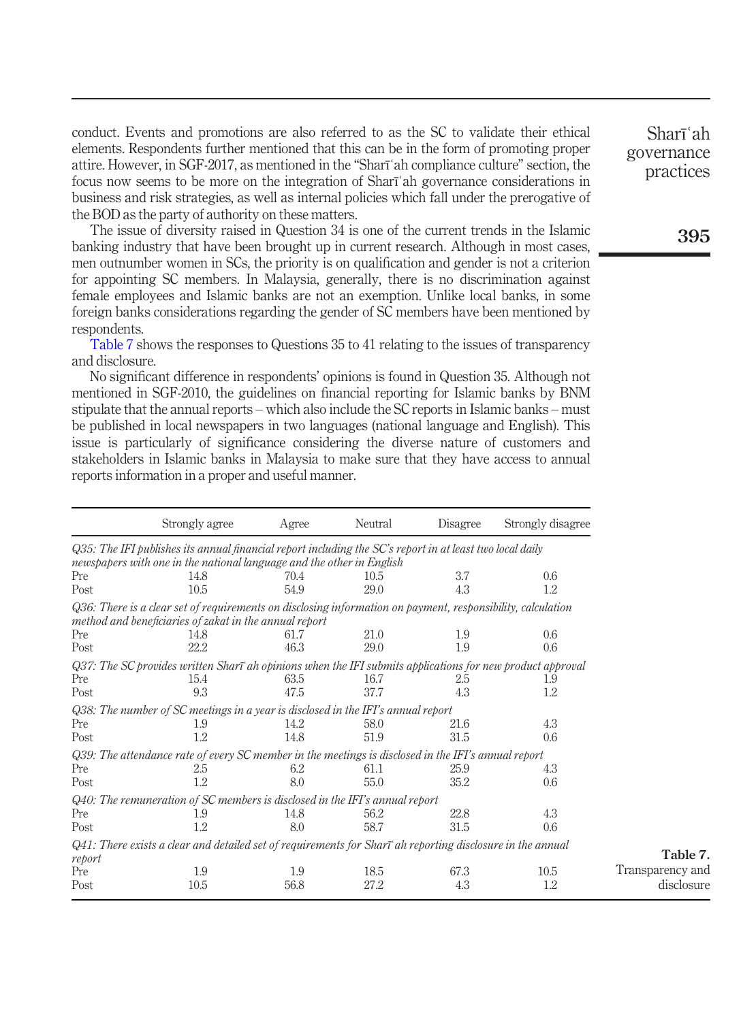conduct. Events and promotions are also referred to as the SC to validate their ethical elements. Respondents further mentioned that this can be in the form of promoting proper attire. However, in SGF-2017, as mentioned in the "Sharīʿah compliance culture" section, the focus now seems to be more on the integration of Sharīʿah governance considerations in business and risk strategies, as well as internal policies which fall under the prerogative of the BOD as the party of authority on these matters.

The issue of diversity raised in Question 34 is one of the current trends in the Islamic banking industry that have been brought up in current research. Although in most cases, men outnumber women in SCs, the priority is on qualification and gender is not a criterion for appointing SC members. In Malaysia, generally, there is no discrimination against female employees and Islamic banks are not an exemption. Unlike local banks, in some foreign banks considerations regarding the gender of SC members have been mentioned by respondents.

[Table 7](#page-14-0) shows the responses to Questions 35 to 41 relating to the issues of transparency and disclosure.

No significant difference in respondents' opinions is found in Question 35. Although not mentioned in SGF-2010, the guidelines on financial reporting for Islamic banks by BNM stipulate that the annual reports – which also include the SC reports in Islamic banks – must be published in local newspapers in two languages (national language and English). This issue is particularly of significance considering the diverse nature of customers and stakeholders in Islamic banks in Malaysia to make sure that they have access to annual reports information in a proper and useful manner.

<span id="page-14-0"></span>

|        | Strongly agree                                                                                                                                                        | Agree | Neutral | Disagree | Strongly disagree |                  |
|--------|-----------------------------------------------------------------------------------------------------------------------------------------------------------------------|-------|---------|----------|-------------------|------------------|
|        | Q35: The IFI publishes its annual financial report including the SC's report in at least two local daily                                                              |       |         |          |                   |                  |
|        | newspapers with one in the national language and the other in English                                                                                                 |       |         |          |                   |                  |
| Pre    | 14.8                                                                                                                                                                  | 70.4  | 10.5    | 3.7      | 0.6               |                  |
| Post   | 10.5                                                                                                                                                                  | 54.9  | 29.0    | 4.3      | $1.2\,$           |                  |
|        | Q36: There is a clear set of requirements on disclosing information on payment, responsibility, calculation<br>method and beneficiaries of zakat in the annual report |       |         |          |                   |                  |
| Pre    | 14.8                                                                                                                                                                  | 61.7  | 21.0    | 1.9      | 0.6               |                  |
| Post   | 22.2                                                                                                                                                                  | 46.3  | 29.0    | 1.9      | 0.6               |                  |
|        | Q37: The SC provides written Shart ah opinions when the IFI submits applications for new product approval                                                             |       |         |          |                   |                  |
| Pre    | 15.4                                                                                                                                                                  | 63.5  | 16.7    | 2.5      | 1.9               |                  |
| Post   | 9.3                                                                                                                                                                   | 47.5  | 37.7    | 4.3      | 1.2               |                  |
|        | Q38: The number of SC meetings in a year is disclosed in the IFI's annual report                                                                                      |       |         |          |                   |                  |
| Pre    | 1.9                                                                                                                                                                   | 14.2  | 58.0    | 21.6     | 4.3               |                  |
| Post   | 1.2                                                                                                                                                                   | 14.8  | 51.9    | 31.5     | 0.6               |                  |
|        | Q39: The attendance rate of every SC member in the meetings is disclosed in the IFI's annual report                                                                   |       |         |          |                   |                  |
| Pre    | 2.5                                                                                                                                                                   | 6.2   | 61.1    | 25.9     | 4.3               |                  |
| Post   | 1.2                                                                                                                                                                   | 8.0   | 55.0    | 35.2     | 0.6               |                  |
|        | Q40: The remuneration of SC members is disclosed in the IFI's annual report                                                                                           |       |         |          |                   |                  |
| Pre    | 1.9                                                                                                                                                                   | 14.8  | 56.2    | 22.8     | 4.3               |                  |
| Post   | 1.2                                                                                                                                                                   | 8.0   | 58.7    | 31.5     | 0.6               |                  |
| report | $Q41$ : There exists a clear and detailed set of requirements for Shart ah reporting disclosure in the annual                                                         |       |         |          |                   | Table 7.         |
| Pre    | 1.9                                                                                                                                                                   | 1.9   | 18.5    | 67.3     | 10.5              | Transparency and |
| Post   | 10.5                                                                                                                                                                  | 56.8  | 27.2    | 4.3      | 1.2               | disclosure       |

Sharīʿah governance practices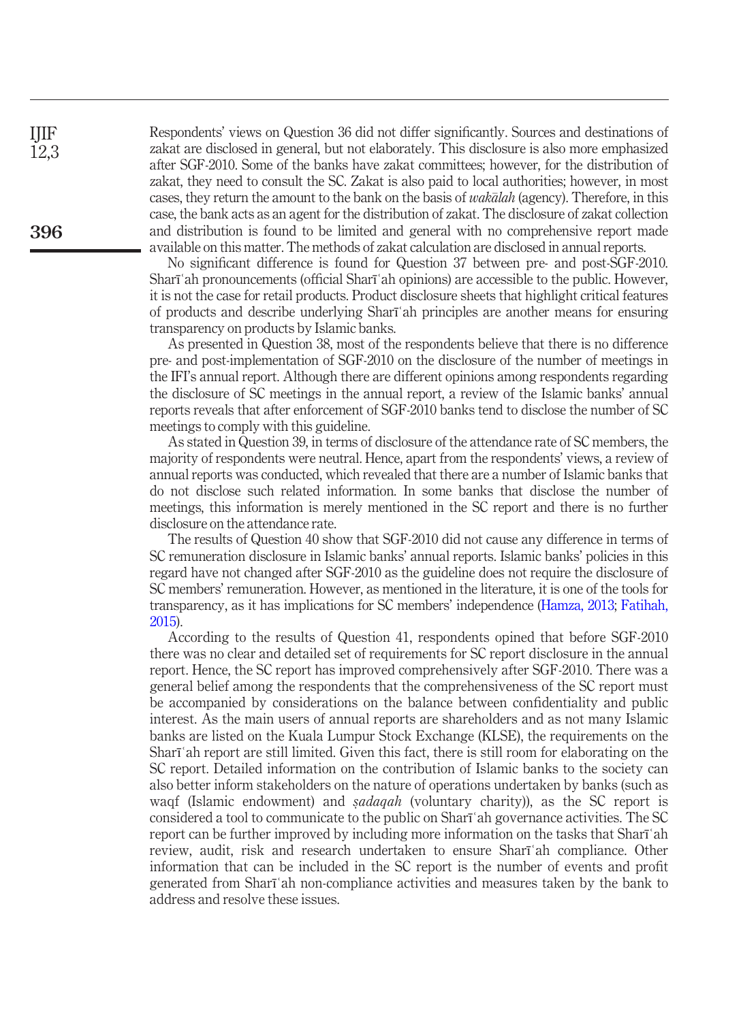Respondents' views on Question 36 did not differ significantly. Sources and destinations of zakat are disclosed in general, but not elaborately. This disclosure is also more emphasized after SGF-2010. Some of the banks have zakat committees; however, for the distribution of zakat, they need to consult the SC. Zakat is also paid to local authorities; however, in most cases, they return the amount to the bank on the basis of *wakalah* (agency). Therefore, in this case, the bank acts as an agent for the distribution of zakat. The disclosure of zakat collection and distribution is found to be limited and general with no comprehensive report made available on this matter. The methods of zakat calculation are disclosed in annual reports.

No significant difference is found for Question 37 between pre- and post-SGF-2010. Sharīʿah pronouncements (official Sharīʿah opinions) are accessible to the public. However, it is not the case for retail products. Product disclosure sheets that highlight critical features of products and describe underlying Sharīʿah principles are another means for ensuring transparency on products by Islamic banks.

As presented in Question 38, most of the respondents believe that there is no difference pre- and post-implementation of SGF-2010 on the disclosure of the number of meetings in the IFI's annual report. Although there are different opinions among respondents regarding the disclosure of SC meetings in the annual report, a review of the Islamic banks' annual reports reveals that after enforcement of SGF-2010 banks tend to disclose the number of SC meetings to comply with this guideline.

As stated in Question 39, in terms of disclosure of the attendance rate of SC members, the majority of respondents were neutral. Hence, apart from the respondents' views, a review of annual reports was conducted, which revealed that there are a number of Islamic banks that do not disclose such related information. In some banks that disclose the number of meetings, this information is merely mentioned in the SC report and there is no further disclosure on the attendance rate.

The results of Question 40 show that SGF-2010 did not cause any difference in terms of SC remuneration disclosure in Islamic banks' annual reports. Islamic banks' policies in this regard have not changed after SGF-2010 as the guideline does not require the disclosure of SC members' remuneration. However, as mentioned in the literature, it is one of the tools for transparency, as it has implications for SC members' independence [\(Hamza, 2013](#page-18-10); [Fatihah,](#page-18-17) [2015](#page-18-17)).

According to the results of Question 41, respondents opined that before SGF-2010 there was no clear and detailed set of requirements for SC report disclosure in the annual report. Hence, the SC report has improved comprehensively after SGF-2010. There was a general belief among the respondents that the comprehensiveness of the SC report must be accompanied by considerations on the balance between confidentiality and public interest. As the main users of annual reports are shareholders and as not many Islamic banks are listed on the Kuala Lumpur Stock Exchange (KLSE), the requirements on the Sharīʿah report are still limited. Given this fact, there is still room for elaborating on the SC report. Detailed information on the contribution of Islamic banks to the society can also better inform stakeholders on the nature of operations undertaken by banks (such as waqf (Islamic endowment) and *sadaqah* (voluntary charity)), as the SC report is<br>considered a tool to communicate to the public on Shari'ah governance activities. The SC considered a tool to communicate to the public on Sharīʿah governance activities. The SC report can be further improved by including more information on the tasks that Sharīʿah review, audit, risk and research undertaken to ensure Sharīʿah compliance. Other information that can be included in the SC report is the number of events and profit generated from Sharīʿah non-compliance activities and measures taken by the bank to address and resolve these issues.

IJIF 12,3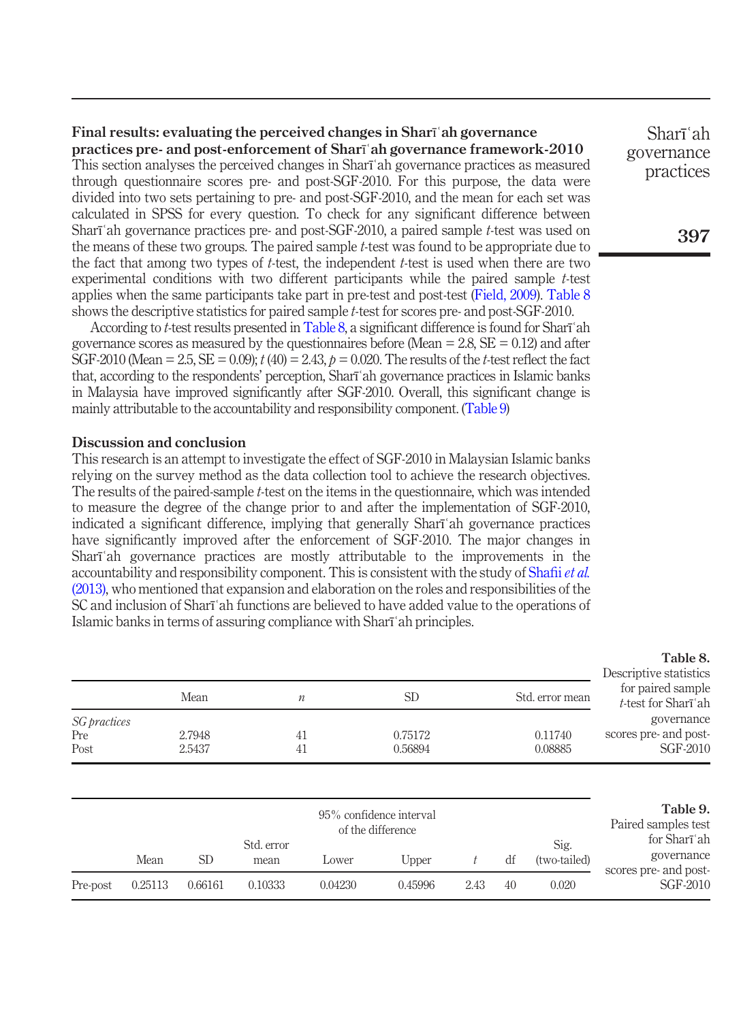### Final results: evaluating the perceived changes in Sharīʿah governance practices pre- and post-enforcement of Sharīʿah governance framework-2010 This section analyses the perceived changes in Sharīʿah governance practices as measured through questionnaire scores pre- and post-SGF-2010. For this purpose, the data were divided into two sets pertaining to pre- and post-SGF-2010, and the mean for each set was calculated in SPSS for every question. To check for any significant difference between Sharī'ah governance practices pre- and post-SGF-2010, a paired sample  $t$ -test was used on the means of these two groups. The paired sample t-test was found to be appropriate due to the fact that among two types of  $t$ -test, the independent  $t$ -test is used when there are two experimental conditions with two different participants while the paired sample t-test applies when the same participants take part in pre-test and post-test [\(Field, 2009](#page-18-18)). [Table 8](#page-16-0) shows the descriptive statistics for paired sample t-test for scores pre- and post-SGF-2010.

According to t-test results presented in [Table 8,](#page-16-0) a significant difference is found for Sharīʿah governance scores as measured by the questionnaires before (Mean  $= 2.8$ ,  $SE = 0.12$ ) and after SGF-2010 (Mean = 2.5, SE = 0.09);  $t(40) = 2.43$ ,  $p = 0.020$ . The results of the t-test reflect the fact that, according to the respondents' perception, Sharīʿah governance practices in Islamic banks in Malaysia have improved significantly after SGF-2010. Overall, this significant change is mainly attributable to the accountability and responsibility component. ([Table 9](#page-16-1))

#### Discussion and conclusion

This research is an attempt to investigate the effect of SGF-2010 in Malaysian Islamic banks relying on the survey method as the data collection tool to achieve the research objectives. The results of the paired-sample t-test on the items in the questionnaire, which was intended to measure the degree of the change prior to and after the implementation of SGF-2010, indicated a significant difference, implying that generally Sharīʿah governance practices have significantly improved after the enforcement of SGF-2010. The major changes in Sharīʿah governance practices are mostly attributable to the improvements in the accountability and responsibility component. This is consistent with the study of Shafii [et al.](#page-18-19) [\(2013\)](#page-18-19), who mentioned that expansion and elaboration on the roles and responsibilities of the SC and inclusion of Sharīʿah functions are believed to have added value to the operations of Islamic banks in terms of assuring compliance with Sharīʿah principles.

|                             |         | Mean             | $\boldsymbol{n}$   |         | SD <sub>1</sub>                                       |      |    | Std. error mean      | Table o.<br>Descriptive statistics<br>for paired sample<br>$t$ -test for Sharī'ah      |
|-----------------------------|---------|------------------|--------------------|---------|-------------------------------------------------------|------|----|----------------------|----------------------------------------------------------------------------------------|
| SG practices<br>Pre<br>Post |         | 2.7948<br>2.5437 | 41<br>41           |         | 0.75172<br>0.56894                                    |      |    | 0.11740<br>0.08885   | governance<br>scores pre- and post-<br>SGF-2010                                        |
|                             | Mean    | <b>SD</b>        | Std. error<br>mean | Lower   | 95% confidence interval<br>of the difference<br>Upper | t    | df | Sig.<br>(two-tailed) | Table 9.<br>Paired samples test<br>for Shari'ah<br>governance<br>scores pre- and post- |
| Pre-post                    | 0.25113 | 0.66161          | 0.10333            | 0.04230 | 0.45996                                               | 2.43 | 40 | 0.020                | SGF-2010                                                                               |

Sharīʿah governance practices

397

<span id="page-16-1"></span><span id="page-16-0"></span> $T<sub>11</sub>$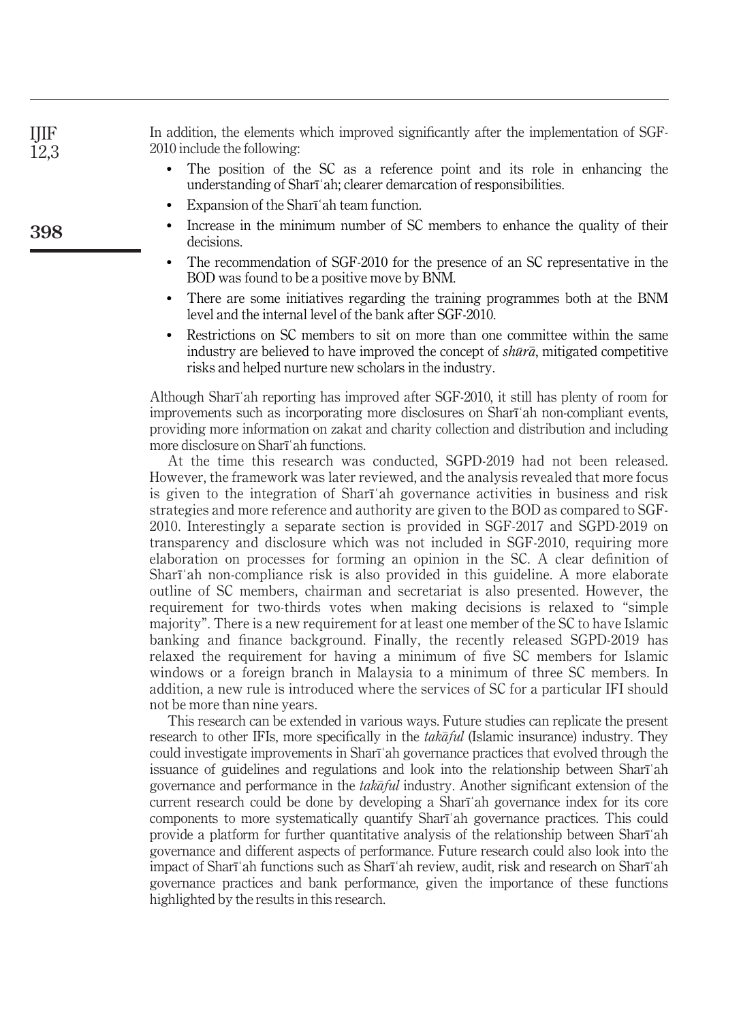| IJIF<br>12,3 | In addition, the elements which improved significantly after the implementation of SGF-<br>2010 include the following:                                                                                                                        |
|--------------|-----------------------------------------------------------------------------------------------------------------------------------------------------------------------------------------------------------------------------------------------|
|              | • The position of the SC as a reference point and its role in enhancing the<br>understanding of Shari'ah; clearer demarcation of responsibilities.                                                                                            |
|              | • Expansion of the Shari ah team function.                                                                                                                                                                                                    |
| 398          | • Increase in the minimum number of SC members to enhance the quality of their<br>decisions.                                                                                                                                                  |
|              | • The recommendation of SGF-2010 for the presence of an SC representative in the<br>BOD was found to be a positive move by BNM.                                                                                                               |
|              | • There are some initiatives regarding the training programmes both at the BNM<br>level and the internal level of the bank after SGF-2010.                                                                                                    |
|              | • Restrictions on SC members to sit on more than one committee within the same<br>industry are believed to have improved the concept of $sh\bar{u}r\bar{a}$ , mitigated competitive<br>risks and helped nurture new scholars in the industry. |
|              |                                                                                                                                                                                                                                               |

Although Sharīʿah reporting has improved after SGF-2010, it still has plenty of room for improvements such as incorporating more disclosures on Sharīʿah non-compliant events, providing more information on zakat and charity collection and distribution and including more disclosure on Sharīʿah functions.

At the time this research was conducted, SGPD-2019 had not been released. However, the framework was later reviewed, and the analysis revealed that more focus is given to the integration of Sharīʿah governance activities in business and risk strategies and more reference and authority are given to the BOD as compared to SGF-2010. Interestingly a separate section is provided in SGF-2017 and SGPD-2019 on transparency and disclosure which was not included in SGF-2010, requiring more elaboration on processes for forming an opinion in the SC. A clear definition of Sharīʿah non-compliance risk is also provided in this guideline. A more elaborate outline of SC members, chairman and secretariat is also presented. However, the requirement for two-thirds votes when making decisions is relaxed to "simple majority". There is a new requirement for at least one member of the SC to have Islamic banking and finance background. Finally, the recently released SGPD-2019 has relaxed the requirement for having a minimum of five SC members for Islamic windows or a foreign branch in Malaysia to a minimum of three SC members. In addition, a new rule is introduced where the services of SC for a particular IFI should not be more than nine years.

This research can be extended in various ways. Future studies can replicate the present research to other IFIs, more specifically in the *takaful* (Islamic insurance) industry. They could investigate improvements in Sharīʿah governance practices that evolved through the issuance of guidelines and regulations and look into the relationship between Sharīʿah governance and performance in the  $takāful$  industry. Another significant extension of the current research could be done by developing a Sharīʿah governance index for its core components to more systematically quantify Sharīʿah governance practices. This could provide a platform for further quantitative analysis of the relationship between Sharīʿah governance and different aspects of performance. Future research could also look into the impact of Sharīʿah functions such as Sharīʿah review, audit, risk and research on Sharīʿah governance practices and bank performance, given the importance of these functions highlighted by the results in this research.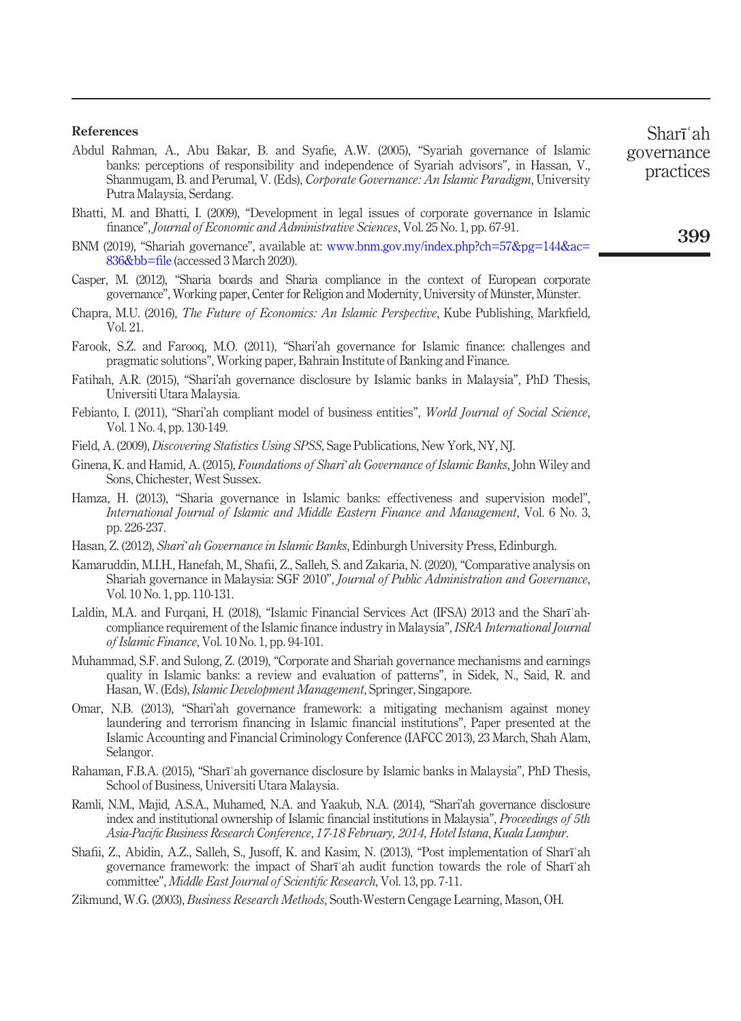#### References

- <span id="page-18-9"></span>Abdul Rahman, A., Abu Bakar, B. and Syafie, A.W. (2005), "Syariah governance of Islamic banks: perceptions of responsibility and independence of Syariah advisors", in Hassan, V., Shanmugam, B. and Perumal, V. (Eds), Corporate Governance: An Islamic Paradigm, University Putra Malaysia, Serdang.
- <span id="page-18-0"></span>Bhatti, M. and Bhatti, I. (2009), "Development in legal issues of corporate governance in Islamic finance", Journal of Economic and Administrative Sciences, Vol. 25 No. 1, pp. 67-91.
- <span id="page-18-16"></span>BNM (2019), "Shariah governance", available at: [www.bnm.gov.my/index.php?ch=57&pg=144&ac=](http://www.bnm.gov.my/index.php?ch=57&pg=144&ac=836&bb=file) [836&bb=](http://www.bnm.gov.my/index.php?ch=57&pg=144&ac=836&bb=file)file (accessed 3 March 2020).
- <span id="page-18-7"></span>Casper, M. (2012), "Sharia boards and Sharia compliance in the context of European corporate governance", Working paper, Center for Religion and Modernity, University of Münster, Münster.
- <span id="page-18-2"></span>Chapra, M.U. (2016), The Future of Economics: An Islamic Perspective, Kube Publishing, Markfield, Vol. 21.
- <span id="page-18-5"></span>Farook, S.Z. and Farooq, M.O. (2011), "Shari'ah governance for Islamic finance: challenges and pragmatic solutions", Working paper, Bahrain Institute of Banking and Finance.
- <span id="page-18-17"></span>Fatihah, A.R. (2015), "Shari'ah governance disclosure by Islamic banks in Malaysia", PhD Thesis, Universiti Utara Malaysia.
- <span id="page-18-6"></span>Febianto, I. (2011), "Shari'ah compliant model of business entities", World Journal of Social Science, Vol. 1 No. 4, pp. 130-149.
- <span id="page-18-18"></span>Field, A. (2009), Discovering Statistics Using SPSS, Sage Publications, New York, NY, NJ.
- <span id="page-18-11"></span>Ginena, K. and Hamid, A. (2015), Foundations of Shari' ah Governance of Islamic Banks, John Wiley and Sons, Chichester, West Sussex.
- <span id="page-18-10"></span>Hamza, H. (2013), "Sharia governance in Islamic banks: effectiveness and supervision model", International Journal of Islamic and Middle Eastern Finance and Management, Vol. 6 No. 3, pp. 226-237.
- <span id="page-18-1"></span>Hasan, Z. (2012), Shari'ah Governance in Islamic Banks, Edinburgh University Press, Edinburgh.
- <span id="page-18-14"></span>Kamaruddin, M.I.H., Hanefah, M., Shafii, Z., Salleh, S. and Zakaria, N. (2020), "Comparative analysis on Shariah governance in Malaysia: SGF 2010", Journal of Public Administration and Governance, Vol. 10 No. 1, pp. 110-131.
- <span id="page-18-13"></span>Laldin, M.A. and Furqani, H. (2018), "Islamic Financial Services Act (IFSA) 2013 and the Sharīʿahcompliance requirement of the Islamic finance industry in Malaysia", ISRA International Journal of Islamic Finance, Vol. 10 No. 1, pp. 94-101.
- <span id="page-18-8"></span>Muhammad, S.F. and Sulong, Z. (2019), "Corporate and Shariah governance mechanisms and earnings quality in Islamic banks: a review and evaluation of patterns", in Sidek, N., Said, R. and Hasan, W. (Eds), Islamic Development Management, Springer, Singapore.
- <span id="page-18-3"></span>Omar, N.B. (2013), "Shari'ah governance framework: a mitigating mechanism against money laundering and terrorism financing in Islamic financial institutions", Paper presented at the Islamic Accounting and Financial Criminology Conference (IAFCC 2013), 23 March, Shah Alam, Selangor.
- <span id="page-18-12"></span>Rahaman, F.B.A. (2015), "Sharīʿah governance disclosure by Islamic banks in Malaysia", PhD Thesis, School of Business, Universiti Utara Malaysia.
- <span id="page-18-4"></span>Ramli, N.M., Majid, A.S.A., Muhamed, N.A. and Yaakub, N.A. (2014), "Shari'ah governance disclosure index and institutional ownership of Islamic financial institutions in Malaysia", Proceedings of 5th Asia-Pacific Business Research Conference, 17-18 February, 2014, Hotel Istana, Kuala Lumpur.
- <span id="page-18-19"></span>Shafii, Z., Abidin, A.Z., Salleh, S., Jusoff, K. and Kasim, N. (2013), "Post implementation of Sharīʿah governance framework: the impact of Sharīʿah audit function towards the role of Sharīʿah committee", Middle East Journal of Scientific Research, Vol. 13, pp. 7-11.
- <span id="page-18-15"></span>Zikmund, W.G. (2003), Business Research Methods, South-Western Cengage Learning, Mason, OH.

Sharīʿah governance practices